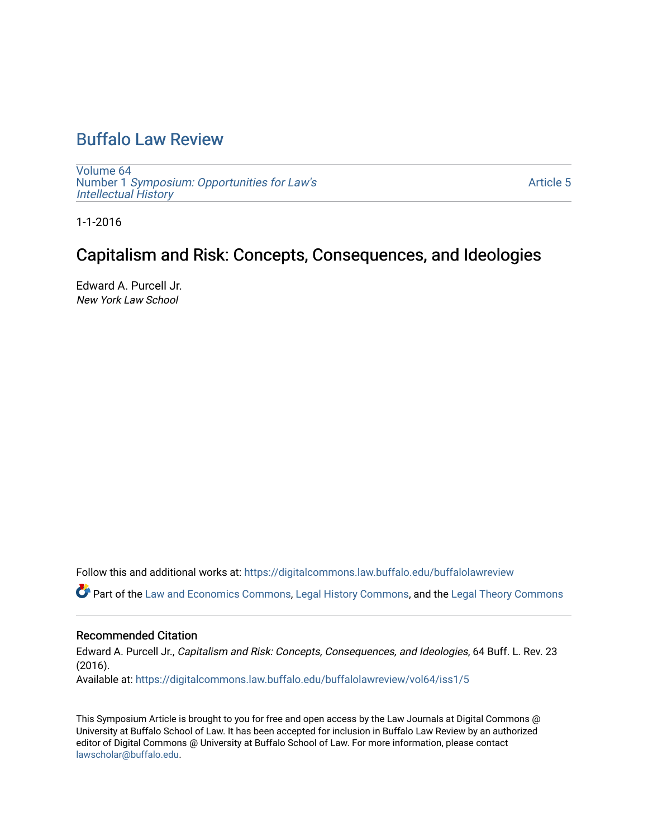# [Buffalo Law Review](https://digitalcommons.law.buffalo.edu/buffalolawreview)

[Volume 64](https://digitalcommons.law.buffalo.edu/buffalolawreview/vol64) Number 1 [Symposium: Opportunities for Law's](https://digitalcommons.law.buffalo.edu/buffalolawreview/vol64/iss1) **[Intellectual History](https://digitalcommons.law.buffalo.edu/buffalolawreview/vol64/iss1)** 

[Article 5](https://digitalcommons.law.buffalo.edu/buffalolawreview/vol64/iss1/5) 

1-1-2016

# Capitalism and Risk: Concepts, Consequences, and Ideologies

Edward A. Purcell Jr. New York Law School

Follow this and additional works at: [https://digitalcommons.law.buffalo.edu/buffalolawreview](https://digitalcommons.law.buffalo.edu/buffalolawreview?utm_source=digitalcommons.law.buffalo.edu%2Fbuffalolawreview%2Fvol64%2Fiss1%2F5&utm_medium=PDF&utm_campaign=PDFCoverPages) 

Part of the [Law and Economics Commons](http://network.bepress.com/hgg/discipline/612?utm_source=digitalcommons.law.buffalo.edu%2Fbuffalolawreview%2Fvol64%2Fiss1%2F5&utm_medium=PDF&utm_campaign=PDFCoverPages), [Legal History Commons](http://network.bepress.com/hgg/discipline/904?utm_source=digitalcommons.law.buffalo.edu%2Fbuffalolawreview%2Fvol64%2Fiss1%2F5&utm_medium=PDF&utm_campaign=PDFCoverPages), and the [Legal Theory Commons](http://network.bepress.com/hgg/discipline/369?utm_source=digitalcommons.law.buffalo.edu%2Fbuffalolawreview%2Fvol64%2Fiss1%2F5&utm_medium=PDF&utm_campaign=PDFCoverPages)

# Recommended Citation

Edward A. Purcell Jr., Capitalism and Risk: Concepts, Consequences, and Ideologies, 64 Buff. L. Rev. 23 (2016). Available at: [https://digitalcommons.law.buffalo.edu/buffalolawreview/vol64/iss1/5](https://digitalcommons.law.buffalo.edu/buffalolawreview/vol64/iss1/5?utm_source=digitalcommons.law.buffalo.edu%2Fbuffalolawreview%2Fvol64%2Fiss1%2F5&utm_medium=PDF&utm_campaign=PDFCoverPages) 

This Symposium Article is brought to you for free and open access by the Law Journals at Digital Commons @ University at Buffalo School of Law. It has been accepted for inclusion in Buffalo Law Review by an authorized editor of Digital Commons @ University at Buffalo School of Law. For more information, please contact [lawscholar@buffalo.edu](mailto:lawscholar@buffalo.edu).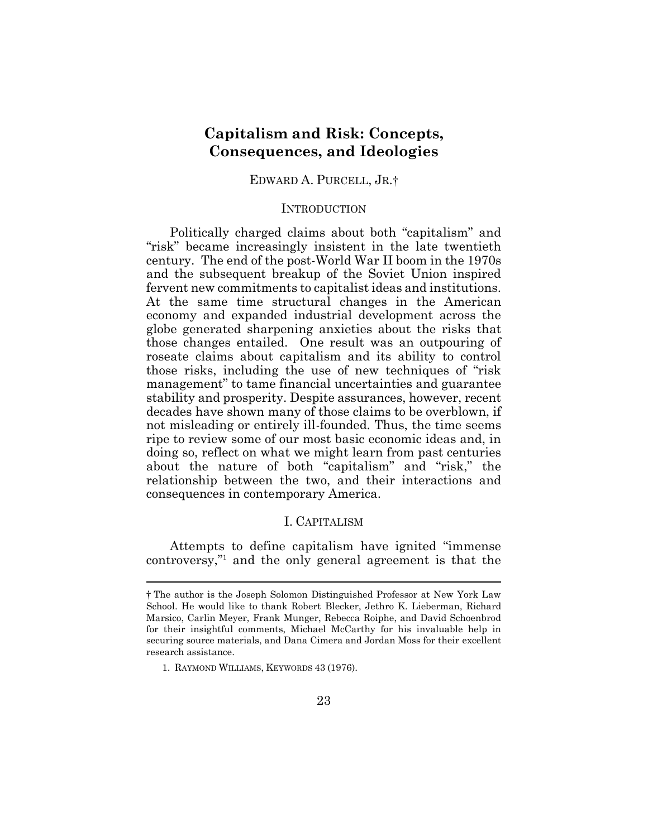# **Capitalism and Risk: Concepts, Consequences, and Ideologies**

EDWARD A. PURCELL, JR.†

#### **INTRODUCTION**

Politically charged claims about both "capitalism" and "risk" became increasingly insistent in the late twentieth century. The end of the post-World War II boom in the 1970s and the subsequent breakup of the Soviet Union inspired fervent new commitments to capitalist ideas and institutions. At the same time structural changes in the American economy and expanded industrial development across the globe generated sharpening anxieties about the risks that those changes entailed. One result was an outpouring of roseate claims about capitalism and its ability to control those risks, including the use of new techniques of "risk management" to tame financial uncertainties and guarantee stability and prosperity. Despite assurances, however, recent decades have shown many of those claims to be overblown, if not misleading or entirely ill-founded. Thus, the time seems ripe to review some of our most basic economic ideas and, in doing so, reflect on what we might learn from past centuries about the nature of both "capitalism" and "risk," the relationship between the two, and their interactions and consequences in contemporary America.

## I. CAPITALISM

Attempts to define capitalism have ignited "immense controversy,"<sup>1</sup> and the only general agreement is that the

 $\overline{a}$ 

<sup>†</sup> The author is the Joseph Solomon Distinguished Professor at New York Law School. He would like to thank Robert Blecker, Jethro K. Lieberman, Richard Marsico, Carlin Meyer, Frank Munger, Rebecca Roiphe, and David Schoenbrod for their insightful comments, Michael McCarthy for his invaluable help in securing source materials, and Dana Cimera and Jordan Moss for their excellent research assistance.

<sup>1.</sup> RAYMOND WILLIAMS, KEYWORDS 43 (1976).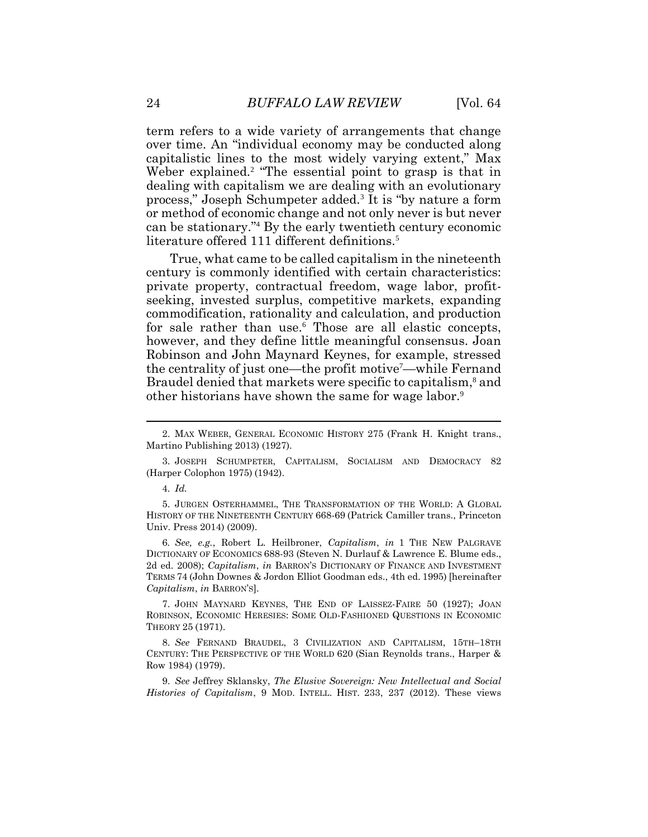term refers to a wide variety of arrangements that change over time. An "individual economy may be conducted along capitalistic lines to the most widely varying extent," Max Weber explained.<sup>2</sup> "The essential point to grasp is that in dealing with capitalism we are dealing with an evolutionary process," Joseph Schumpeter added.<sup>3</sup> It is "by nature a form or method of economic change and not only never is but never can be stationary."<sup>4</sup> By the early twentieth century economic literature offered 111 different definitions.<sup>5</sup>

True, what came to be called capitalism in the nineteenth century is commonly identified with certain characteristics: private property, contractual freedom, wage labor, profitseeking, invested surplus, competitive markets, expanding commodification, rationality and calculation, and production for sale rather than use.<sup>6</sup> Those are all elastic concepts, however, and they define little meaningful consensus. Joan Robinson and John Maynard Keynes, for example, stressed the centrality of just one—the profit motive<sup>7</sup>—while Fernand Braudel denied that markets were specific to capitalism, <sup>8</sup> and other historians have shown the same for wage labor.<sup>9</sup>

5. JURGEN OSTERHAMMEL, THE TRANSFORMATION OF THE WORLD: A GLOBAL HISTORY OF THE NINETEENTH CENTURY 668-69 (Patrick Camiller trans., Princeton Univ. Press 2014) (2009).

6*. See, e.g.*, Robert L. Heilbroner, *Capitalism*, *in* 1 THE NEW PALGRAVE DICTIONARY OF ECONOMICS 688-93 (Steven N. Durlauf & Lawrence E. Blume eds., 2d ed. 2008); *Capitalism*, *in* BARRON'S DICTIONARY OF FINANCE AND INVESTMENT TERMS 74 (John Downes & Jordon Elliot Goodman eds., 4th ed. 1995) [hereinafter *Capitalism*, *in* BARRON'S].

7. JOHN MAYNARD KEYNES, THE END OF LAISSEZ-FAIRE 50 (1927); JOAN ROBINSON, ECONOMIC HERESIES: SOME OLD-FASHIONED QUESTIONS IN ECONOMIC THEORY 25 (1971).

8. *See* FERNAND BRAUDEL, 3 CIVILIZATION AND CAPITALISM, 15TH–18TH CENTURY: THE PERSPECTIVE OF THE WORLD 620 (Sian Reynolds trans., Harper & Row 1984) (1979).

9. *See* Jeffrey Sklansky, *The Elusive Sovereign: New Intellectual and Social Histories of Capitalism*, 9 MOD. INTELL. HIST. 233, 237 (2012). These views

<sup>2.</sup> MAX WEBER, GENERAL ECONOMIC HISTORY 275 (Frank H. Knight trans., Martino Publishing 2013) (1927).

<sup>3.</sup> JOSEPH SCHUMPETER, CAPITALISM, SOCIALISM AND DEMOCRACY 82 (Harper Colophon 1975) (1942).

<sup>4.</sup> *Id.*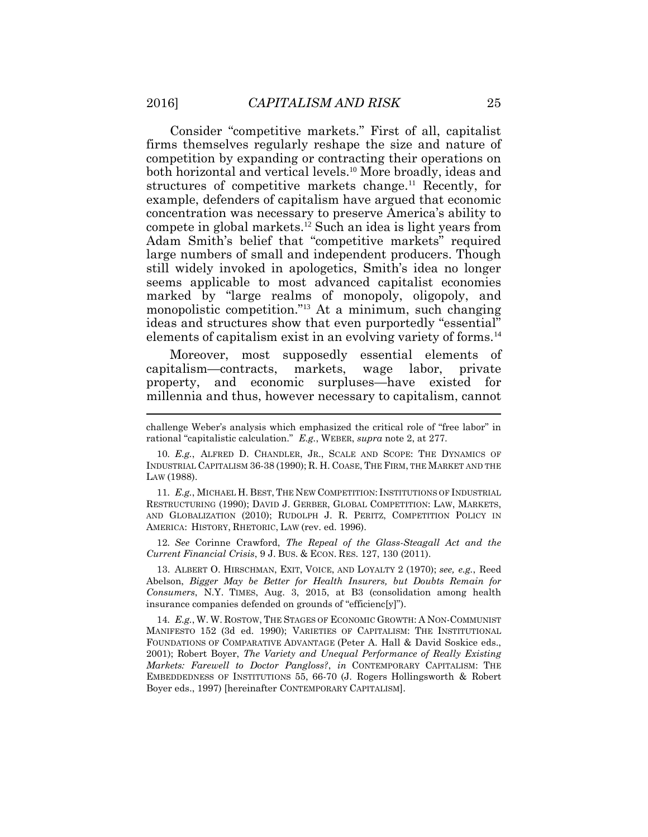Consider "competitive markets." First of all, capitalist firms themselves regularly reshape the size and nature of competition by expanding or contracting their operations on both horizontal and vertical levels.<sup>10</sup> More broadly, ideas and structures of competitive markets change.<sup>11</sup> Recently, for example, defenders of capitalism have argued that economic concentration was necessary to preserve America's ability to compete in global markets.<sup>12</sup> Such an idea is light years from Adam Smith's belief that "competitive markets" required large numbers of small and independent producers. Though still widely invoked in apologetics, Smith's idea no longer seems applicable to most advanced capitalist economies marked by "large realms of monopoly, oligopoly, and monopolistic competition."<sup>13</sup> At a minimum, such changing ideas and structures show that even purportedly "essential" elements of capitalism exist in an evolving variety of forms.<sup>14</sup>

Moreover, most supposedly essential elements of capitalism—contracts, markets, wage labor, private property, and economic surpluses—have existed for millennia and thus, however necessary to capitalism, cannot

11*. E.g.*, MICHAEL H. BEST, THE NEW COMPETITION: INSTITUTIONS OF INDUSTRIAL RESTRUCTURING (1990); DAVID J. GERBER, GLOBAL COMPETITION: LAW, MARKETS, AND GLOBALIZATION (2010); RUDOLPH J. R. PERITZ, COMPETITION POLICY IN AMERICA: HISTORY, RHETORIC, LAW (rev. ed. 1996).

12*. See* Corinne Crawford, *The Repeal of the Glass-Steagall Act and the Current Financial Crisis*, 9 J. BUS. & ECON. RES. 127, 130 (2011).

13. ALBERT O. HIRSCHMAN, EXIT, VOICE, AND LOYALTY 2 (1970); *see, e.g.*, Reed Abelson, *Bigger May be Better for Health Insurers, but Doubts Remain for Consumers*, N.Y. TIMES, Aug. 3, 2015, at B3 (consolidation among health insurance companies defended on grounds of "efficienc[y]").

14*. E.g.*, W. W. ROSTOW, THE STAGES OF ECONOMIC GROWTH: A NON-COMMUNIST MANIFESTO 152 (3d ed. 1990); VARIETIES OF CAPITALISM: THE INSTITUTIONAL FOUNDATIONS OF COMPARATIVE ADVANTAGE (Peter A. Hall & David Soskice eds., 2001); Robert Boyer, *The Variety and Unequal Performance of Really Existing Markets: Farewell to Doctor Pangloss?*, *in* CONTEMPORARY CAPITALISM: THE EMBEDDEDNESS OF INSTITUTIONS 55, 66-70 (J. Rogers Hollingsworth & Robert Boyer eds., 1997) [hereinafter CONTEMPORARY CAPITALISM].

challenge Weber's analysis which emphasized the critical role of "free labor" in rational "capitalistic calculation." *E.g.*, WEBER, *supra* note 2, at 277.

<sup>10</sup>*. E.g.*, ALFRED D. CHANDLER, JR., SCALE AND SCOPE: THE DYNAMICS OF INDUSTRIAL CAPITALISM 36-38 (1990); R. H. COASE, THE FIRM, THE MARKET AND THE LAW (1988).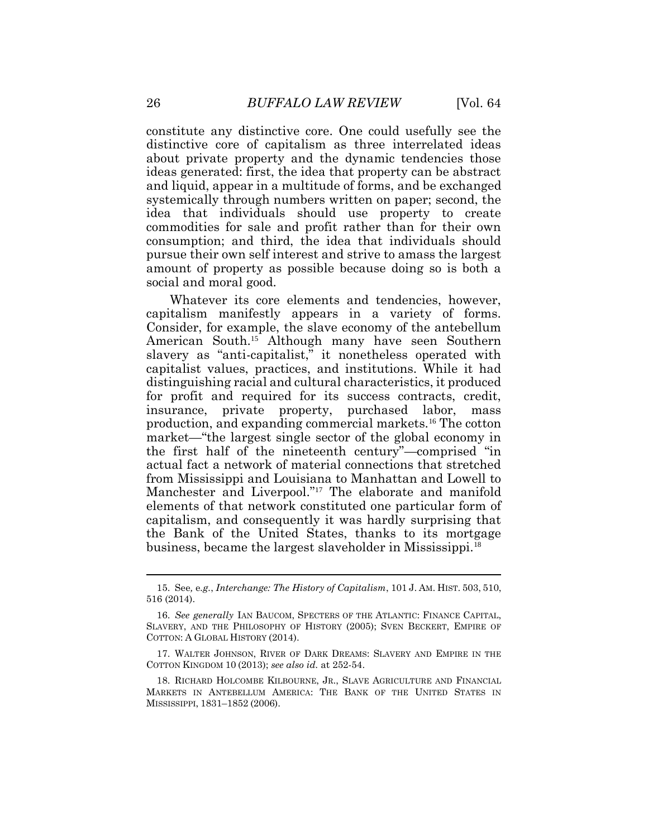constitute any distinctive core. One could usefully see the distinctive core of capitalism as three interrelated ideas about private property and the dynamic tendencies those ideas generated: first, the idea that property can be abstract and liquid, appear in a multitude of forms, and be exchanged systemically through numbers written on paper; second, the idea that individuals should use property to create commodities for sale and profit rather than for their own consumption; and third, the idea that individuals should pursue their own self interest and strive to amass the largest amount of property as possible because doing so is both a social and moral good.

Whatever its core elements and tendencies, however, capitalism manifestly appears in a variety of forms. Consider, for example, the slave economy of the antebellum American South.<sup>15</sup> Although many have seen Southern slavery as "anti-capitalist," it nonetheless operated with capitalist values, practices, and institutions. While it had distinguishing racial and cultural characteristics, it produced for profit and required for its success contracts, credit, insurance, private property, purchased labor, mass production, and expanding commercial markets.<sup>16</sup> The cotton market—"the largest single sector of the global economy in the first half of the nineteenth century"—comprised "in actual fact a network of material connections that stretched from Mississippi and Louisiana to Manhattan and Lowell to Manchester and Liverpool."<sup>17</sup> The elaborate and manifold elements of that network constituted one particular form of capitalism, and consequently it was hardly surprising that the Bank of the United States, thanks to its mortgage business, became the largest slaveholder in Mississippi.<sup>18</sup>

<sup>15.</sup> See*,* e*.g.*, *Interchange: The History of Capitalism*, 101 J. AM. HIST. 503, 510, 516 (2014).

<sup>16.</sup> *See generally* IAN BAUCOM, SPECTERS OF THE ATLANTIC: FINANCE CAPITAL, SLAVERY, AND THE PHILOSOPHY OF HISTORY (2005); SVEN BECKERT, EMPIRE OF COTTON: A GLOBAL HISTORY (2014).

<sup>17.</sup> WALTER JOHNSON, RIVER OF DARK DREAMS: SLAVERY AND EMPIRE IN THE COTTON KINGDOM 10 (2013); *see also id.* at 252-54.

<sup>18.</sup> RICHARD HOLCOMBE KILBOURNE, JR., SLAVE AGRICULTURE AND FINANCIAL MARKETS IN ANTEBELLUM AMERICA: THE BANK OF THE UNITED STATES IN MISSISSIPPI, 1831–1852 (2006).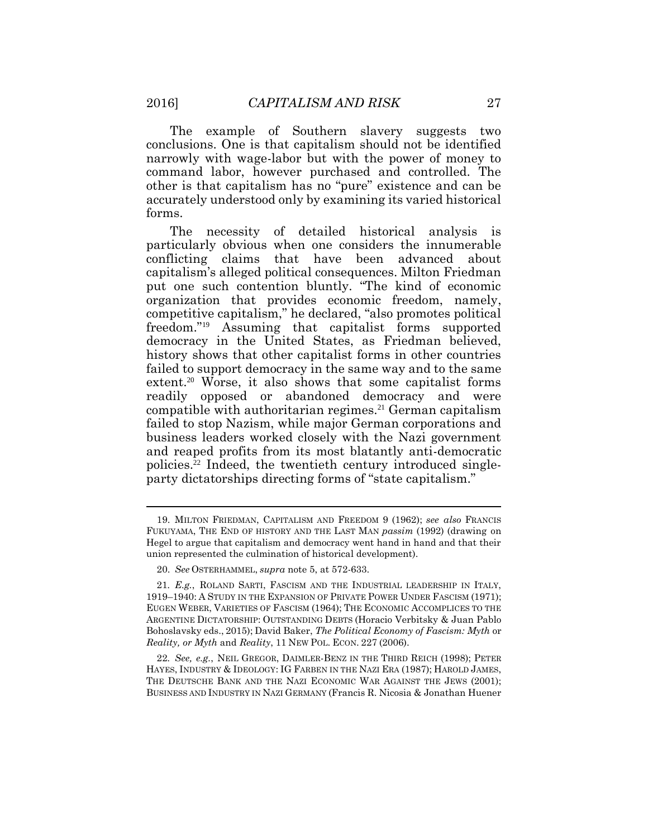The example of Southern slavery suggests two conclusions. One is that capitalism should not be identified narrowly with wage-labor but with the power of money to command labor, however purchased and controlled. The other is that capitalism has no "pure" existence and can be accurately understood only by examining its varied historical forms.

The necessity of detailed historical analysis is particularly obvious when one considers the innumerable conflicting claims that have been advanced about capitalism's alleged political consequences. Milton Friedman put one such contention bluntly. "The kind of economic organization that provides economic freedom, namely, competitive capitalism," he declared, "also promotes political freedom."<sup>19</sup> Assuming that capitalist forms supported democracy in the United States, as Friedman believed, history shows that other capitalist forms in other countries failed to support democracy in the same way and to the same extent.<sup>20</sup> Worse, it also shows that some capitalist forms readily opposed or abandoned democracy and were compatible with authoritarian regimes.<sup>21</sup> German capitalism failed to stop Nazism, while major German corporations and business leaders worked closely with the Nazi government and reaped profits from its most blatantly anti-democratic policies.<sup>22</sup> Indeed, the twentieth century introduced singleparty dictatorships directing forms of "state capitalism."

22*. See, e.g.*, NEIL GREGOR, DAIMLER-BENZ IN THE THIRD REICH (1998); PETER HAYES, INDUSTRY & IDEOLOGY: IG FARBEN IN THE NAZI ERA (1987); HAROLD JAMES, THE DEUTSCHE BANK AND THE NAZI ECONOMIC WAR AGAINST THE JEWS (2001); BUSINESS AND INDUSTRY IN NAZI GERMANY (Francis R. Nicosia & Jonathan Huener

<sup>19.</sup> MILTON FRIEDMAN, CAPITALISM AND FREEDOM 9 (1962); *see also* FRANCIS FUKUYAMA, THE END OF HISTORY AND THE LAST MAN *passim* (1992) (drawing on Hegel to argue that capitalism and democracy went hand in hand and that their union represented the culmination of historical development).

<sup>20.</sup> *See* OSTERHAMMEL, *supra* note 5, at 572-633.

<sup>21</sup>*. E.g.*, ROLAND SARTI, FASCISM AND THE INDUSTRIAL LEADERSHIP IN ITALY, 1919–1940: A STUDY IN THE EXPANSION OF PRIVATE POWER UNDER FASCISM (1971); EUGEN WEBER, VARIETIES OF FASCISM (1964); THE ECONOMIC ACCOMPLICES TO THE ARGENTINE DICTATORSHIP: OUTSTANDING DEBTS (Horacio Verbitsky & Juan Pablo Bohoslavsky eds., 2015); David Baker, *The Political Economy of Fascism: Myth* or *Reality, or Myth* and *Reality*, 11 NEW POL. ECON. 227 (2006).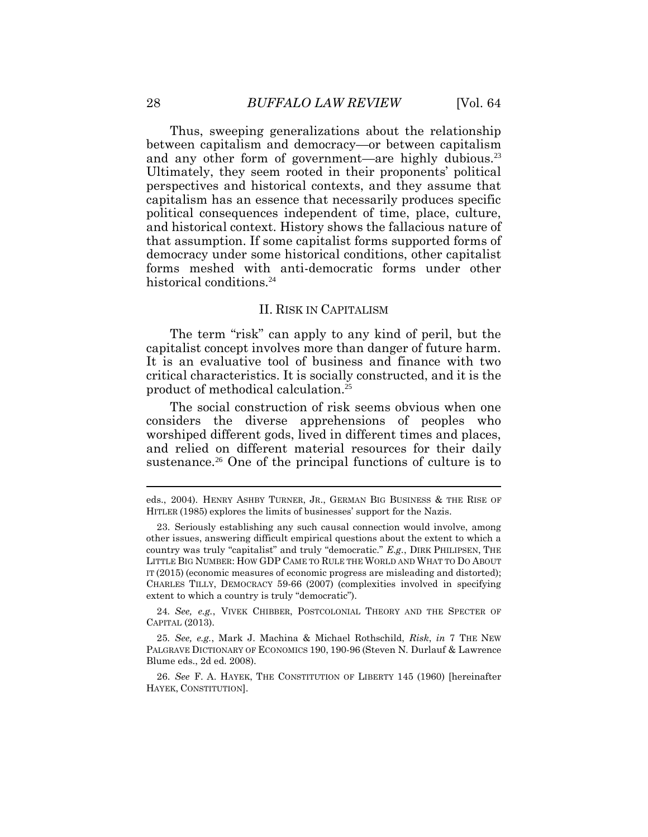Thus, sweeping generalizations about the relationship between capitalism and democracy—or between capitalism and any other form of government—are highly dubious.<sup>23</sup> Ultimately, they seem rooted in their proponents' political perspectives and historical contexts, and they assume that capitalism has an essence that necessarily produces specific political consequences independent of time, place, culture, and historical context. History shows the fallacious nature of that assumption. If some capitalist forms supported forms of democracy under some historical conditions, other capitalist forms meshed with anti-democratic forms under other historical conditions.<sup>24</sup>

#### II. RISK IN CAPITALISM

The term "risk" can apply to any kind of peril, but the capitalist concept involves more than danger of future harm. It is an evaluative tool of business and finance with two critical characteristics. It is socially constructed, and it is the product of methodical calculation.<sup>25</sup>

The social construction of risk seems obvious when one considers the diverse apprehensions of peoples who worshiped different gods, lived in different times and places, and relied on different material resources for their daily sustenance.<sup>26</sup> One of the principal functions of culture is to

24*. See, e.g.*, VIVEK CHIBBER, POSTCOLONIAL THEORY AND THE SPECTER OF CAPITAL (2013).

25*. See, e.g.*, Mark J. Machina & Michael Rothschild, *Risk*, *in* 7 THE NEW PALGRAVE DICTIONARY OF ECONOMICS 190, 190-96 (Steven N. Durlauf & Lawrence Blume eds., 2d ed. 2008).

26. *See* F. A. HAYEK, THE CONSTITUTION OF LIBERTY 145 (1960) [hereinafter HAYEK, CONSTITUTION].

 $\overline{a}$ 

eds., 2004). HENRY ASHBY TURNER, JR., GERMAN BIG BUSINESS & THE RISE OF HITLER (1985) explores the limits of businesses' support for the Nazis.

<sup>23.</sup> Seriously establishing any such causal connection would involve, among other issues, answering difficult empirical questions about the extent to which a country was truly "capitalist" and truly "democratic." *E.g.*, DIRK PHILIPSEN, THE LITTLE BIG NUMBER: HOW GDP CAME TO RULE THE WORLD AND WHAT TO DO ABOUT IT (2015) (economic measures of economic progress are misleading and distorted); CHARLES TILLY, DEMOCRACY 59-66 (2007) (complexities involved in specifying extent to which a country is truly "democratic").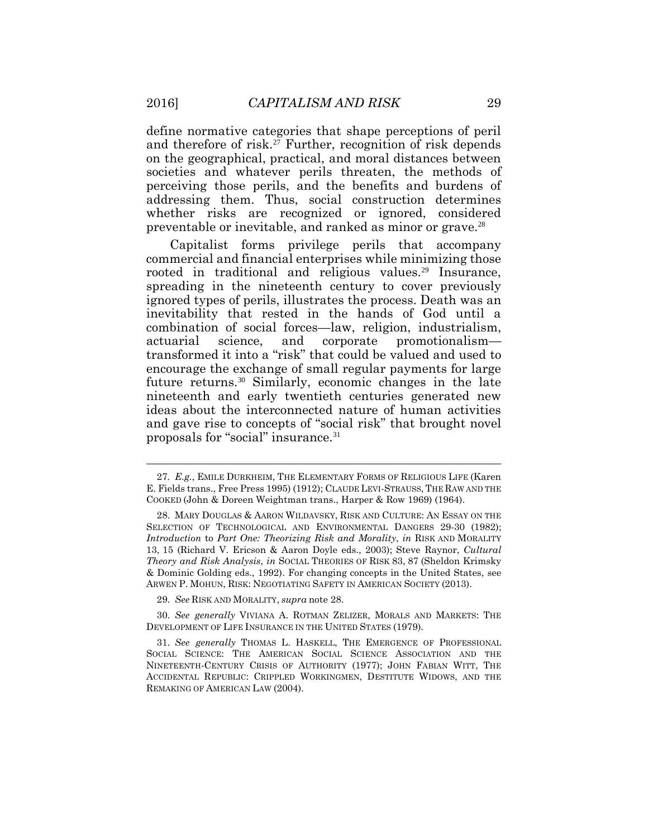define normative categories that shape perceptions of peril and therefore of risk.<sup>27</sup> Further, recognition of risk depends on the geographical, practical, and moral distances between societies and whatever perils threaten, the methods of perceiving those perils, and the benefits and burdens of addressing them. Thus, social construction determines whether risks are recognized or ignored, considered preventable or inevitable, and ranked as minor or grave.<sup>28</sup>

Capitalist forms privilege perils that accompany commercial and financial enterprises while minimizing those rooted in traditional and religious values.<sup>29</sup> Insurance, spreading in the nineteenth century to cover previously ignored types of perils, illustrates the process. Death was an inevitability that rested in the hands of God until a combination of social forces—law, religion, industrialism, actuarial science, and corporate promotionalism transformed it into a "risk" that could be valued and used to encourage the exchange of small regular payments for large future returns.<sup>30</sup> Similarly, economic changes in the late nineteenth and early twentieth centuries generated new ideas about the interconnected nature of human activities and gave rise to concepts of "social risk" that brought novel proposals for "social" insurance.<sup>31</sup>

29. *See* RISK AND MORALITY, *supra* note 28.

30. *See generally* VIVIANA A. ROTMAN ZELIZER, MORALS AND MARKETS: THE DEVELOPMENT OF LIFE INSURANCE IN THE UNITED STATES (1979).

<sup>27</sup>*. E.g.*, EMILE DURKHEIM, THE ELEMENTARY FORMS OF RELIGIOUS LIFE (Karen E. Fields trans., Free Press 1995) (1912); CLAUDE LEVI-STRAUSS, THE RAW AND THE COOKED (John & Doreen Weightman trans., Harper & Row 1969) (1964).

<sup>28.</sup> MARY DOUGLAS & AARON WILDAVSKY, RISK AND CULTURE: AN ESSAY ON THE SELECTION OF TECHNOLOGICAL AND ENVIRONMENTAL DANGERS 29-30 (1982); *Introduction* to *Part One: Theorizing Risk and Morality*, *in* RISK AND MORALITY 13, 15 (Richard V. Ericson & Aaron Doyle eds., 2003); Steve Raynor, *Cultural Theory and Risk Analysis*, *in* SOCIAL THEORIES OF RISK 83, 87 (Sheldon Krimsky & Dominic Golding eds., 1992). For changing concepts in the United States, see ARWEN P. MOHUN, RISK: NEGOTIATING SAFETY IN AMERICAN SOCIETY (2013).

<sup>31.</sup> *See generally* THOMAS L. HASKELL, THE EMERGENCE OF PROFESSIONAL SOCIAL SCIENCE: THE AMERICAN SOCIAL SCIENCE ASSOCIATION AND THE NINETEENTH-CENTURY CRISIS OF AUTHORITY (1977); JOHN FABIAN WITT, THE ACCIDENTAL REPUBLIC: CRIPPLED WORKINGMEN, DESTITUTE WIDOWS, AND THE REMAKING OF AMERICAN LAW (2004).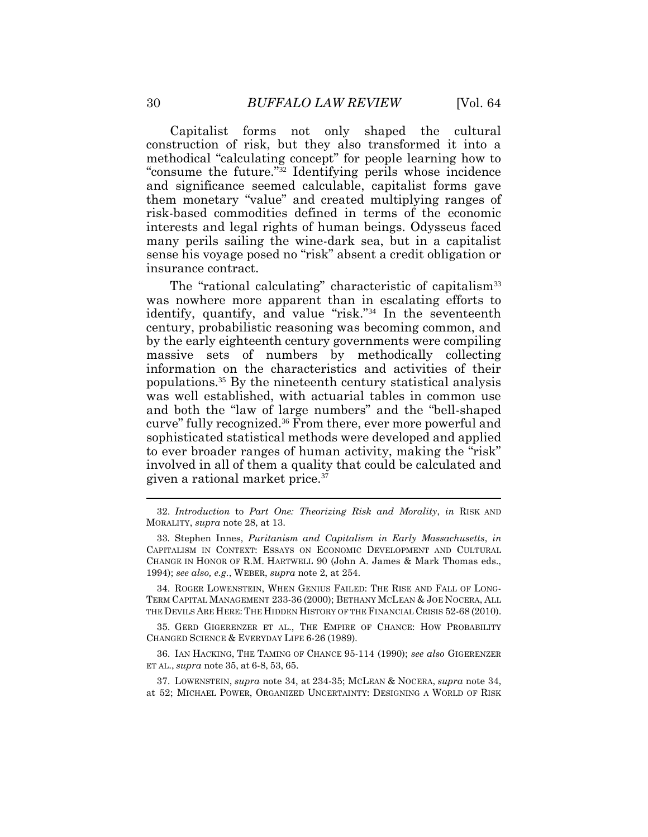Capitalist forms not only shaped the cultural construction of risk, but they also transformed it into a methodical "calculating concept" for people learning how to "consume the future."<sup>32</sup> Identifying perils whose incidence and significance seemed calculable, capitalist forms gave them monetary "value" and created multiplying ranges of risk-based commodities defined in terms of the economic interests and legal rights of human beings. Odysseus faced many perils sailing the wine-dark sea, but in a capitalist sense his voyage posed no "risk" absent a credit obligation or insurance contract.

The "rational calculating" characteristic of capitalism<sup>33</sup> was nowhere more apparent than in escalating efforts to identify, quantify, and value "risk."<sup>34</sup> In the seventeenth century, probabilistic reasoning was becoming common, and by the early eighteenth century governments were compiling massive sets of numbers by methodically collecting information on the characteristics and activities of their populations.<sup>35</sup> By the nineteenth century statistical analysis was well established, with actuarial tables in common use and both the "law of large numbers" and the "bell-shaped curve" fully recognized.<sup>36</sup> From there, ever more powerful and sophisticated statistical methods were developed and applied to ever broader ranges of human activity, making the "risk" involved in all of them a quality that could be calculated and given a rational market price.<sup>37</sup>

34. ROGER LOWENSTEIN, WHEN GENIUS FAILED: THE RISE AND FALL OF LONG-TERM CAPITAL MANAGEMENT 233-36 (2000); BETHANY MCLEAN & JOE NOCERA, ALL THE DEVILS ARE HERE: THE HIDDEN HISTORY OF THE FINANCIAL CRISIS 52-68 (2010).

35. GERD GIGERENZER ET AL., THE EMPIRE OF CHANCE: HOW PROBABILITY CHANGED SCIENCE & EVERYDAY LIFE 6-26 (1989).

36. IAN HACKING, THE TAMING OF CHANCE 95-114 (1990); *see also* GIGERENZER ET AL., *supra* note 35, at 6-8, 53, 65.

37. LOWENSTEIN, *supra* note 34, at 234-35; MCLEAN & NOCERA, *supra* note 34, at 52; MICHAEL POWER, ORGANIZED UNCERTAINTY: DESIGNING A WORLD OF RISK

<sup>32.</sup> *Introduction* to *Part One: Theorizing Risk and Morality*, *in* RISK AND MORALITY, *supra* note 28, at 13.

<sup>33</sup>*.* Stephen Innes, *Puritanism and Capitalism in Early Massachusetts*, *in* CAPITALISM IN CONTEXT: ESSAYS ON ECONOMIC DEVELOPMENT AND CULTURAL CHANGE IN HONOR OF R.M. HARTWELL 90 (John A. James & Mark Thomas eds., 1994); *see also, e.g.*, WEBER, *supra* note 2, at 254.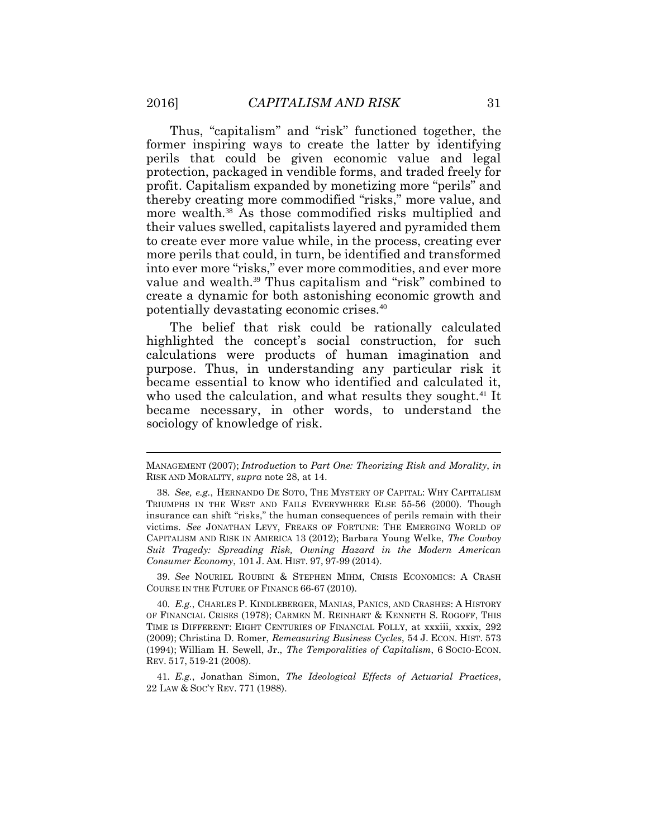Thus, "capitalism" and "risk" functioned together, the former inspiring ways to create the latter by identifying perils that could be given economic value and legal protection, packaged in vendible forms, and traded freely for profit. Capitalism expanded by monetizing more "perils" and thereby creating more commodified "risks," more value, and more wealth.<sup>38</sup> As those commodified risks multiplied and their values swelled, capitalists layered and pyramided them to create ever more value while, in the process, creating ever more perils that could, in turn, be identified and transformed into ever more "risks," ever more commodities, and ever more value and wealth.<sup>39</sup> Thus capitalism and "risk" combined to create a dynamic for both astonishing economic growth and potentially devastating economic crises.<sup>40</sup>

The belief that risk could be rationally calculated highlighted the concept's social construction, for such calculations were products of human imagination and purpose. Thus, in understanding any particular risk it became essential to know who identified and calculated it, who used the calculation, and what results they sought.<sup>41</sup> It became necessary, in other words, to understand the sociology of knowledge of risk.

39. *See* NOURIEL ROUBINI & STEPHEN MIHM, CRISIS ECONOMICS: A CRASH COURSE IN THE FUTURE OF FINANCE 66-67 (2010).

40*. E.g.*, CHARLES P. KINDLEBERGER, MANIAS, PANICS, AND CRASHES: A HISTORY OF FINANCIAL CRISES (1978); CARMEN M. REINHART & KENNETH S. ROGOFF, THIS TIME IS DIFFERENT: EIGHT CENTURIES OF FINANCIAL FOLLY, at xxxiii, xxxix, 292 (2009); Christina D. Romer, *Remeasuring Business Cycles*, 54 J. ECON. HIST. 573 (1994); William H. Sewell, Jr., *The Temporalities of Capitalism*, 6 SOCIO-ECON. REV. 517, 519-21 (2008).

41*. E.g.*, Jonathan Simon, *The Ideological Effects of Actuarial Practices*, 22 LAW & SOC'Y REV. 771 (1988).

MANAGEMENT (2007); *Introduction* to *Part One: Theorizing Risk and Morality*, *in*  RISK AND MORALITY, *supra* note 28, at 14.

<sup>38</sup>*. See, e.g.*, HERNANDO DE SOTO, THE MYSTERY OF CAPITAL: WHY CAPITALISM TRIUMPHS IN THE WEST AND FAILS EVERYWHERE ELSE 55-56 (2000). Though insurance can shift "risks," the human consequences of perils remain with their victims. *See* JONATHAN LEVY, FREAKS OF FORTUNE: THE EMERGING WORLD OF CAPITALISM AND RISK IN AMERICA 13 (2012); Barbara Young Welke, *The Cowboy Suit Tragedy: Spreading Risk, Owning Hazard in the Modern American Consumer Economy*, 101 J. AM. HIST. 97, 97-99 (2014).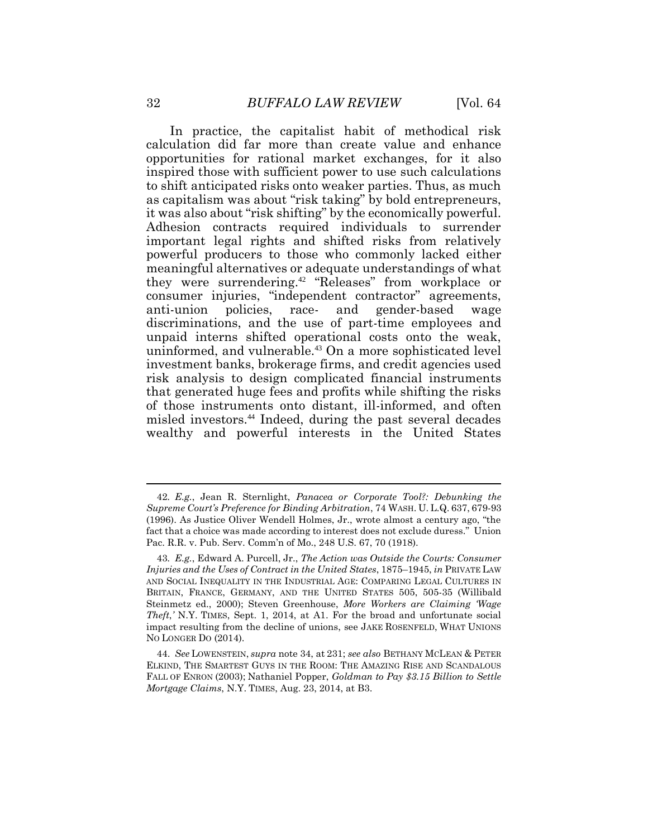In practice, the capitalist habit of methodical risk calculation did far more than create value and enhance opportunities for rational market exchanges, for it also inspired those with sufficient power to use such calculations to shift anticipated risks onto weaker parties. Thus, as much as capitalism was about "risk taking" by bold entrepreneurs, it was also about "risk shifting" by the economically powerful. Adhesion contracts required individuals to surrender important legal rights and shifted risks from relatively powerful producers to those who commonly lacked either meaningful alternatives or adequate understandings of what they were surrendering.<sup>42</sup> "Releases" from workplace or consumer injuries, "independent contractor" agreements, anti-union policies, race- and gender-based wage discriminations, and the use of part-time employees and unpaid interns shifted operational costs onto the weak, uninformed, and vulnerable.<sup>43</sup> On a more sophisticated level investment banks, brokerage firms, and credit agencies used risk analysis to design complicated financial instruments that generated huge fees and profits while shifting the risks of those instruments onto distant, ill-informed, and often misled investors.<sup>44</sup> Indeed, during the past several decades wealthy and powerful interests in the United States

<sup>42</sup>*. E.g.*, Jean R. Sternlight, *Panacea or Corporate Tool?: Debunking the Supreme Court's Preference for Binding Arbitration*, 74 WASH. U. L.Q. 637, 679-93 (1996). As Justice Oliver Wendell Holmes, Jr., wrote almost a century ago, "the fact that a choice was made according to interest does not exclude duress." Union Pac. R.R. v. Pub. Serv. Comm'n of Mo., 248 U.S. 67, 70 (1918).

<sup>43</sup>*. E.g.*, Edward A. Purcell, Jr., *The Action was Outside the Courts: Consumer Injuries and the Uses of Contract in the United States*, 1875–1945, *in* PRIVATE LAW AND SOCIAL INEQUALITY IN THE INDUSTRIAL AGE: COMPARING LEGAL CULTURES IN BRITAIN, FRANCE, GERMANY, AND THE UNITED STATES 505, 505-35 (Willibald Steinmetz ed., 2000); Steven Greenhouse, *More Workers are Claiming 'Wage Theft*,*'* N.Y. TIMES, Sept. 1, 2014, at A1. For the broad and unfortunate social impact resulting from the decline of unions, see JAKE ROSENFELD, WHAT UNIONS NO LONGER DO (2014).

<sup>44.</sup> *See* LOWENSTEIN, *supra* note 34, at 231; *see also* BETHANY MCLEAN & PETER ELKIND, THE SMARTEST GUYS IN THE ROOM: THE AMAZING RISE AND SCANDALOUS FALL OF ENRON (2003); Nathaniel Popper, *Goldman to Pay \$3.15 Billion to Settle Mortgage Claims*, N.Y. TIMES, Aug. 23, 2014, at B3.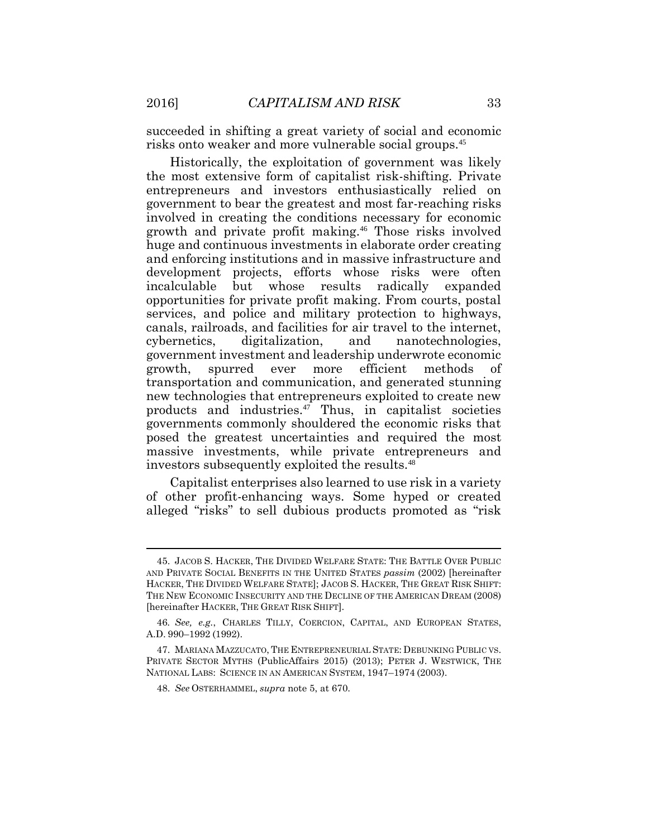succeeded in shifting a great variety of social and economic risks onto weaker and more vulnerable social groups.<sup>45</sup>

Historically, the exploitation of government was likely the most extensive form of capitalist risk-shifting. Private entrepreneurs and investors enthusiastically relied on government to bear the greatest and most far-reaching risks involved in creating the conditions necessary for economic growth and private profit making.<sup>46</sup> Those risks involved huge and continuous investments in elaborate order creating and enforcing institutions and in massive infrastructure and development projects, efforts whose risks were often incalculable but whose results radically expanded opportunities for private profit making. From courts, postal services, and police and military protection to highways, canals, railroads, and facilities for air travel to the internet, cybernetics, digitalization, and nanotechnologies, government investment and leadership underwrote economic growth, spurred ever more efficient methods of transportation and communication, and generated stunning new technologies that entrepreneurs exploited to create new products and industries. $47$  Thus, in capitalist societies governments commonly shouldered the economic risks that posed the greatest uncertainties and required the most massive investments, while private entrepreneurs and investors subsequently exploited the results.<sup>48</sup>

Capitalist enterprises also learned to use risk in a variety of other profit-enhancing ways. Some hyped or created alleged "risks" to sell dubious products promoted as "risk

<sup>45.</sup> JACOB S. HACKER, THE DIVIDED WELFARE STATE: THE BATTLE OVER PUBLIC AND PRIVATE SOCIAL BENEFITS IN THE UNITED STATES *passim* (2002) [hereinafter HACKER, THE DIVIDED WELFARE STATE]; JACOB S. HACKER, THE GREAT RISK SHIFT: THE NEW ECONOMIC INSECURITY AND THE DECLINE OF THE AMERICAN DREAM (2008) [hereinafter HACKER, THE GREAT RISK SHIFT].

<sup>46</sup>*. See, e.g.*, CHARLES TILLY, COERCION, CAPITAL, AND EUROPEAN STATES, A.D. 990–1992 (1992).

<sup>47.</sup> MARIANA MAZZUCATO, THE ENTREPRENEURIAL STATE: DEBUNKING PUBLIC VS. PRIVATE SECTOR MYTHS (PublicAffairs 2015) (2013); PETER J. WESTWICK, THE NATIONAL LABS: SCIENCE IN AN AMERICAN SYSTEM, 1947–1974 (2003).

<sup>48.</sup> *See* OSTERHAMMEL, *supra* note 5, at 670.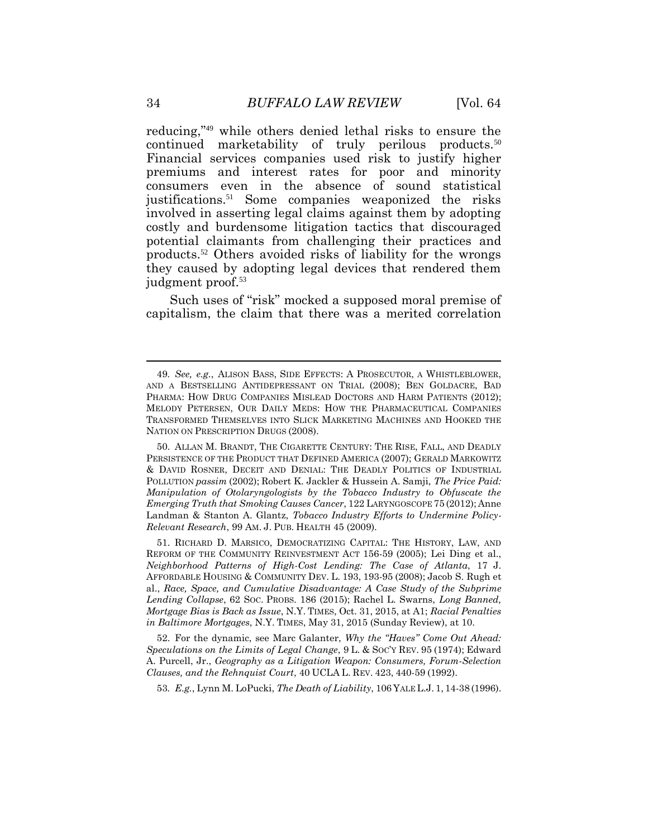reducing,"<sup>49</sup> while others denied lethal risks to ensure the continued marketability of truly perilous products.<sup>50</sup> Financial services companies used risk to justify higher premiums and interest rates for poor and minority consumers even in the absence of sound statistical justifications.<sup>51</sup> Some companies weaponized the risks involved in asserting legal claims against them by adopting costly and burdensome litigation tactics that discouraged potential claimants from challenging their practices and products.<sup>52</sup> Others avoided risks of liability for the wrongs they caused by adopting legal devices that rendered them judgment proof.<sup>53</sup>

Such uses of "risk" mocked a supposed moral premise of capitalism, the claim that there was a merited correlation

51. RICHARD D. MARSICO, DEMOCRATIZING CAPITAL: THE HISTORY, LAW, AND REFORM OF THE COMMUNITY REINVESTMENT ACT 156-59 (2005); Lei Ding et al., *Neighborhood Patterns of High-Cost Lending: The Case of Atlanta*, 17 J. AFFORDABLE HOUSING & COMMUNITY DEV. L. 193, 193-95 (2008); Jacob S. Rugh et al., *Race, Space, and Cumulative Disadvantage: A Case Study of the Subprime Lending Collapse*, 62 SOC. PROBS. 186 (2015); Rachel L. Swarns, *Long Banned, Mortgage Bias is Back as Issue*, N.Y. TIMES, Oct. 31, 2015, at A1; *Racial Penalties in Baltimore Mortgages*, N.Y. TIMES, May 31, 2015 (Sunday Review), at 10.

52. For the dynamic, see Marc Galanter, *Why the "Haves" Come Out Ahead: Speculations on the Limits of Legal Change*, 9 L. & SOC'Y REV. 95 (1974); Edward A. Purcell, Jr., *Geography as a Litigation Weapon: Consumers, Forum-Selection Clauses, and the Rehnquist Court*, 40 UCLA L. REV. 423, 440-59 (1992).

53*. E.g.*, Lynn M. LoPucki, *The Death of Liability*, 106 YALE L.J. 1, 14-38 (1996).

<sup>49</sup>*. See, e.g.*, ALISON BASS, SIDE EFFECTS: A PROSECUTOR, A WHISTLEBLOWER, AND A BESTSELLING ANTIDEPRESSANT ON TRIAL (2008); BEN GOLDACRE, BAD PHARMA: HOW DRUG COMPANIES MISLEAD DOCTORS AND HARM PATIENTS (2012); MELODY PETERSEN, OUR DAILY MEDS: HOW THE PHARMACEUTICAL COMPANIES TRANSFORMED THEMSELVES INTO SLICK MARKETING MACHINES AND HOOKED THE NATION ON PRESCRIPTION DRUGS (2008).

<sup>50.</sup> ALLAN M. BRANDT, THE CIGARETTE CENTURY: THE RISE, FALL, AND DEADLY PERSISTENCE OF THE PRODUCT THAT DEFINED AMERICA (2007); GERALD MARKOWITZ & DAVID ROSNER, DECEIT AND DENIAL: THE DEADLY POLITICS OF INDUSTRIAL POLLUTION *passim* (2002); Robert K. Jackler & Hussein A. Samji, *The Price Paid: Manipulation of Otolaryngologists by the Tobacco Industry to Obfuscate the Emerging Truth that Smoking Causes Cancer*, 122 LARYNGOSCOPE 75 (2012); Anne Landman & Stanton A. Glantz, *Tobacco Industry Efforts to Undermine Policy-Relevant Research*, 99 AM. J. PUB. HEALTH 45 (2009).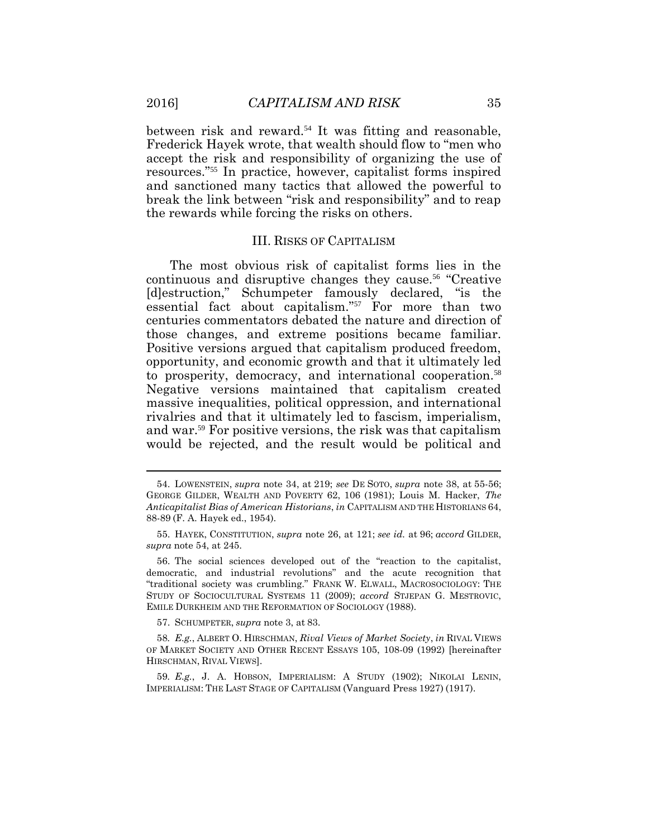$\overline{a}$ 

between risk and reward.<sup>54</sup> It was fitting and reasonable. Frederick Hayek wrote, that wealth should flow to "men who accept the risk and responsibility of organizing the use of resources."55 In practice, however, capitalist forms inspired and sanctioned many tactics that allowed the powerful to break the link between "risk and responsibility" and to reap the rewards while forcing the risks on others.

#### III. RISKS OF CAPITALISM

The most obvious risk of capitalist forms lies in the continuous and disruptive changes they cause.<sup>56</sup> "Creative [d]estruction," Schumpeter famously declared, "is the essential fact about capitalism."57 For more than two centuries commentators debated the nature and direction of those changes, and extreme positions became familiar. Positive versions argued that capitalism produced freedom, opportunity, and economic growth and that it ultimately led to prosperity, democracy, and international cooperation.<sup>58</sup> Negative versions maintained that capitalism created massive inequalities, political oppression, and international rivalries and that it ultimately led to fascism, imperialism, and war.59 For positive versions, the risk was that capitalism would be rejected, and the result would be political and

57. SCHUMPETER, *supra* note 3, at 83.

<sup>54.</sup> LOWENSTEIN, *supra* note 34, at 219; *see* DE SOTO, *supra* note 38, at 55-56; GEORGE GILDER, WEALTH AND POVERTY 62, 106 (1981); Louis M. Hacker, *The Anticapitalist Bias of American Historians*, *in* CAPITALISM AND THE HISTORIANS 64, 88-89 (F. A. Hayek ed., 1954).

<sup>55.</sup> HAYEK, CONSTITUTION, *supra* note 26, at 121; *see id.* at 96; *accord* GILDER, *supra* note 54, at 245.

<sup>56.</sup> The social sciences developed out of the "reaction to the capitalist, democratic, and industrial revolutions" and the acute recognition that "traditional society was crumbling." FRANK W. ELWALL, MACROSOCIOLOGY: THE STUDY OF SOCIOCULTURAL SYSTEMS 11 (2009); *accord* STJEPAN G. MESTROVIC, EMILE DURKHEIM AND THE REFORMATION OF SOCIOLOGY (1988).

<sup>58</sup>*. E.g.*, ALBERT O. HIRSCHMAN, *Rival Views of Market Society*, *in* RIVAL VIEWS OF MARKET SOCIETY AND OTHER RECENT ESSAYS 105, 108-09 (1992) [hereinafter HIRSCHMAN, RIVAL VIEWS].

<sup>59</sup>*. E.g.*, J. A. HOBSON, IMPERIALISM: A STUDY (1902); NIKOLAI LENIN, IMPERIALISM: THE LAST STAGE OF CAPITALISM (Vanguard Press 1927) (1917).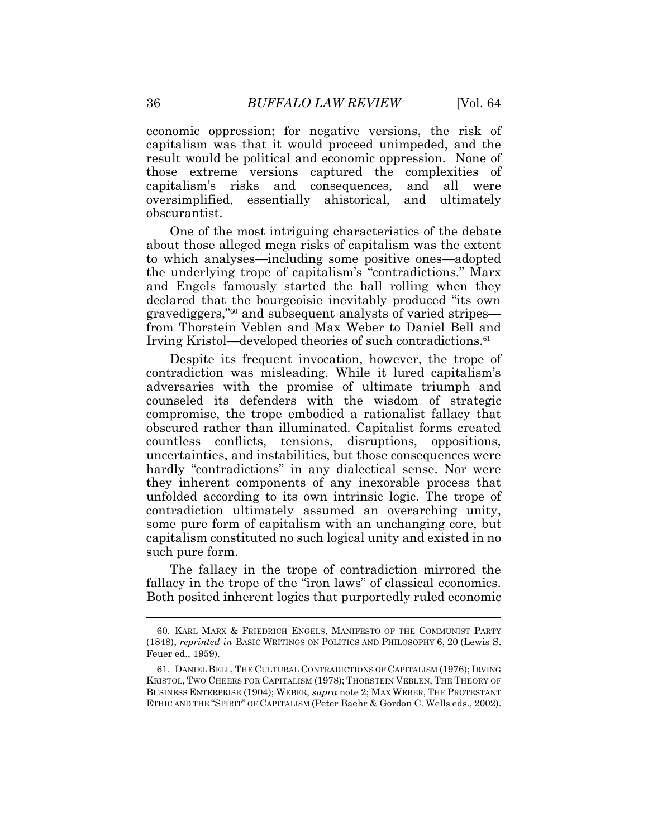economic oppression; for negative versions, the risk of capitalism was that it would proceed unimpeded, and the result would be political and economic oppression. None of those extreme versions captured the complexities of capitalism's risks and consequences, and all were oversimplified, essentially ahistorical, and ultimately obscurantist.

One of the most intriguing characteristics of the debate about those alleged mega risks of capitalism was the extent to which analyses—including some positive ones—adopted the underlying trope of capitalism's "contradictions." Marx and Engels famously started the ball rolling when they declared that the bourgeoisie inevitably produced "its own gravediggers,"<sup>60</sup> and subsequent analysts of varied stripes from Thorstein Veblen and Max Weber to Daniel Bell and Irving Kristol—developed theories of such contradictions.<sup>61</sup>

Despite its frequent invocation, however, the trope of contradiction was misleading. While it lured capitalism's adversaries with the promise of ultimate triumph and counseled its defenders with the wisdom of strategic compromise, the trope embodied a rationalist fallacy that obscured rather than illuminated. Capitalist forms created countless conflicts, tensions, disruptions, oppositions, uncertainties, and instabilities, but those consequences were hardly "contradictions" in any dialectical sense. Nor were they inherent components of any inexorable process that unfolded according to its own intrinsic logic. The trope of contradiction ultimately assumed an overarching unity, some pure form of capitalism with an unchanging core, but capitalism constituted no such logical unity and existed in no such pure form.

The fallacy in the trope of contradiction mirrored the fallacy in the trope of the "iron laws" of classical economics. Both posited inherent logics that purportedly ruled economic

<sup>60.</sup> KARL MARX & FRIEDRICH ENGELS, MANIFESTO OF THE COMMUNIST PARTY (1848), *reprinted in* BASIC WRITINGS ON POLITICS AND PHILOSOPHY 6, 20 (Lewis S. Feuer ed., 1959).

<sup>61.</sup> DANIEL BELL, THE CULTURAL CONTRADICTIONS OF CAPITALISM (1976); IRVING KRISTOL, TWO CHEERS FOR CAPITALISM (1978); THORSTEIN VEBLEN, THE THEORY OF BUSINESS ENTERPRISE (1904); WEBER, *supra* note 2; MAX WEBER, THE PROTESTANT ETHIC AND THE "SPIRIT" OF CAPITALISM (Peter Baehr & Gordon C. Wells eds., 2002).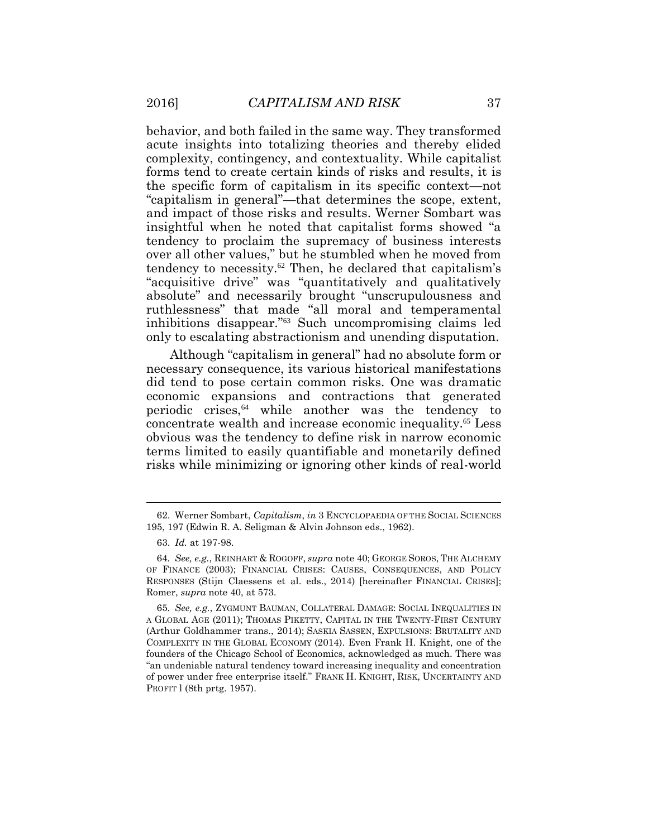behavior, and both failed in the same way. They transformed acute insights into totalizing theories and thereby elided complexity, contingency, and contextuality. While capitalist forms tend to create certain kinds of risks and results, it is the specific form of capitalism in its specific context—not "capitalism in general"—that determines the scope, extent, and impact of those risks and results. Werner Sombart was insightful when he noted that capitalist forms showed "a tendency to proclaim the supremacy of business interests over all other values," but he stumbled when he moved from tendency to necessity.<sup>62</sup> Then, he declared that capitalism's "acquisitive drive" was "quantitatively and qualitatively absolute" and necessarily brought "unscrupulousness and ruthlessness" that made "all moral and temperamental inhibitions disappear."<sup>63</sup> Such uncompromising claims led only to escalating abstractionism and unending disputation.

Although "capitalism in general" had no absolute form or necessary consequence, its various historical manifestations did tend to pose certain common risks. One was dramatic economic expansions and contractions that generated periodic crises,<sup>64</sup> while another was the tendency to concentrate wealth and increase economic inequality.<sup>65</sup> Less obvious was the tendency to define risk in narrow economic terms limited to easily quantifiable and monetarily defined risks while minimizing or ignoring other kinds of real-world

<sup>62.</sup> Werner Sombart, *Capitalism*, *in* 3 ENCYCLOPAEDIA OF THE SOCIAL SCIENCES 195, 197 (Edwin R. A. Seligman & Alvin Johnson eds., 1962).

<sup>63.</sup> *Id.* at 197-98.

<sup>64</sup>*. See, e.g.*, REINHART & ROGOFF, *supra* note 40; GEORGE SOROS, THE ALCHEMY OF FINANCE (2003); FINANCIAL CRISES: CAUSES, CONSEQUENCES, AND POLICY RESPONSES (Stijn Claessens et al. eds., 2014) [hereinafter FINANCIAL CRISES]; Romer, *supra* note 40, at 573.

<sup>65</sup>*. See, e.g.*, ZYGMUNT BAUMAN, COLLATERAL DAMAGE: SOCIAL INEQUALITIES IN A GLOBAL AGE (2011); THOMAS PIKETTY, CAPITAL IN THE TWENTY-FIRST CENTURY (Arthur Goldhammer trans., 2014); SASKIA SASSEN, EXPULSIONS: BRUTALITY AND COMPLEXITY IN THE GLOBAL ECONOMY (2014). Even Frank H. Knight, one of the founders of the Chicago School of Economics, acknowledged as much. There was "an undeniable natural tendency toward increasing inequality and concentration of power under free enterprise itself." FRANK H. KNIGHT, RISK, UNCERTAINTY AND PROFIT l (8th prtg. 1957).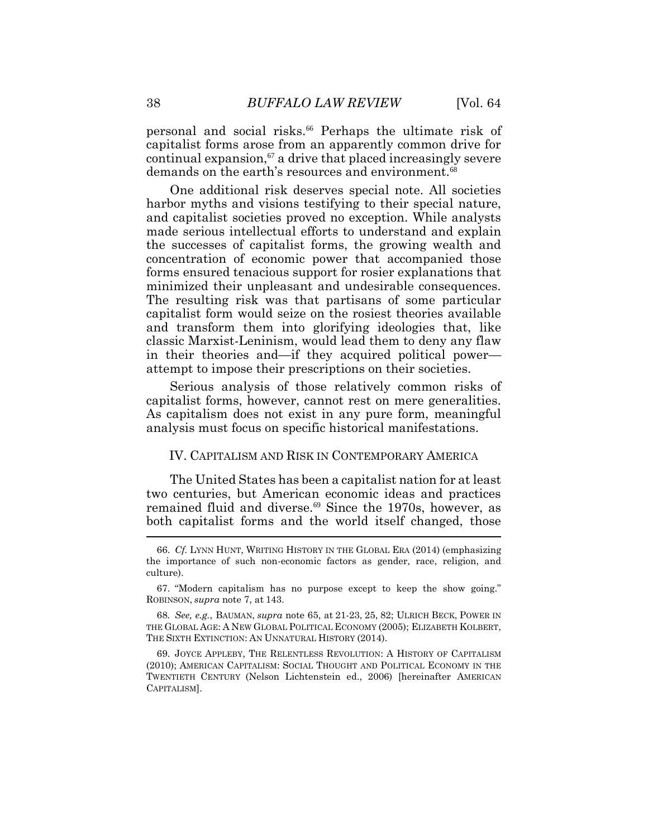personal and social risks.<sup>66</sup> Perhaps the ultimate risk of capitalist forms arose from an apparently common drive for continual expansion, $\mathfrak{g}$  a drive that placed increasingly severe demands on the earth's resources and environment.<sup>68</sup>

One additional risk deserves special note. All societies harbor myths and visions testifying to their special nature, and capitalist societies proved no exception. While analysts made serious intellectual efforts to understand and explain the successes of capitalist forms, the growing wealth and concentration of economic power that accompanied those forms ensured tenacious support for rosier explanations that minimized their unpleasant and undesirable consequences. The resulting risk was that partisans of some particular capitalist form would seize on the rosiest theories available and transform them into glorifying ideologies that, like classic Marxist-Leninism, would lead them to deny any flaw in their theories and—if they acquired political power attempt to impose their prescriptions on their societies.

Serious analysis of those relatively common risks of capitalist forms, however, cannot rest on mere generalities. As capitalism does not exist in any pure form, meaningful analysis must focus on specific historical manifestations.

### IV. CAPITALISM AND RISK IN CONTEMPORARY AMERICA

The United States has been a capitalist nation for at least two centuries, but American economic ideas and practices remained fluid and diverse.<sup>69</sup> Since the 1970s, however, as both capitalist forms and the world itself changed, those  $\tilde{ }$ 

<sup>66.</sup> *Cf.* LYNN HUNT, WRITING HISTORY IN THE GLOBAL ERA (2014) (emphasizing the importance of such non-economic factors as gender, race, religion, and culture).

<sup>67.</sup> "Modern capitalism has no purpose except to keep the show going." ROBINSON, *supra* note 7, at 143.

<sup>68</sup>*. See, e.g.*, BAUMAN, *supra* note 65, at 21-23, 25, 82; ULRICH BECK, POWER IN THE GLOBAL AGE: A NEW GLOBAL POLITICAL ECONOMY (2005); ELIZABETH KOLBERT, THE SIXTH EXTINCTION: AN UNNATURAL HISTORY (2014).

<sup>69.</sup> JOYCE APPLEBY, THE RELENTLESS REVOLUTION: A HISTORY OF CAPITALISM (2010); AMERICAN CAPITALISM: SOCIAL THOUGHT AND POLITICAL ECONOMY IN THE TWENTIETH CENTURY (Nelson Lichtenstein ed., 2006) [hereinafter AMERICAN CAPITALISM].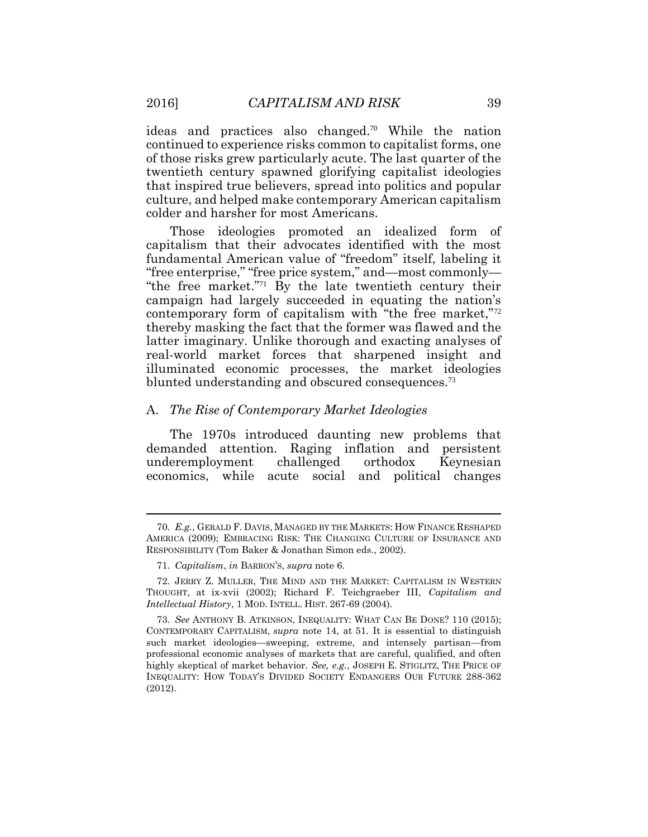ideas and practices also changed.70 While the nation continued to experience risks common to capitalist forms, one of those risks grew particularly acute. The last quarter of the twentieth century spawned glorifying capitalist ideologies that inspired true believers, spread into politics and popular culture, and helped make contemporary American capitalism colder and harsher for most Americans.

Those ideologies promoted an idealized form of capitalism that their advocates identified with the most fundamental American value of "freedom" itself, labeling it "free enterprise," "free price system," and—most commonly— "the free market."71 By the late twentieth century their campaign had largely succeeded in equating the nation's contemporary form of capitalism with "the free market,"<sup>72</sup> thereby masking the fact that the former was flawed and the latter imaginary. Unlike thorough and exacting analyses of real-world market forces that sharpened insight and illuminated economic processes, the market ideologies blunted understanding and obscured consequences.<sup>73</sup>

#### A. *The Rise of Contemporary Market Ideologies*

The 1970s introduced daunting new problems that demanded attention. Raging inflation and persistent underemployment challenged orthodox Keynesian economics, while acute social and political changes

 $\overline{a}$ 

<sup>70</sup>*. E.g.*, GERALD F. DAVIS, MANAGED BY THE MARKETS: HOW FINANCE RESHAPED AMERICA (2009); EMBRACING RISK: THE CHANGING CULTURE OF INSURANCE AND RESPONSIBILITY (Tom Baker & Jonathan Simon eds., 2002).

<sup>71.</sup> *Capitalism*, *in* BARRON'S, *supra* note 6.

<sup>72.</sup> JERRY Z. MULLER, THE MIND AND THE MARKET: CAPITALISM IN WESTERN THOUGHT, at ix-xvii (2002); Richard F. Teichgraeber III, *Capitalism and Intellectual History*, 1 MOD. INTELL. HIST. 267-69 (2004).

<sup>73.</sup> *See* ANTHONY B. ATKINSON, INEQUALITY: WHAT CAN BE DONE? 110 (2015); CONTEMPORARY CAPITALISM, *supra* note 14, at 51. It is essential to distinguish such market ideologies—sweeping, extreme, and intensely partisan—from professional economic analyses of markets that are careful, qualified, and often highly skeptical of market behavior. *See, e.g.*, JOSEPH E. STIGLITZ, THE PRICE OF INEQUALITY: HOW TODAY'S DIVIDED SOCIETY ENDANGERS OUR FUTURE 288-362 (2012).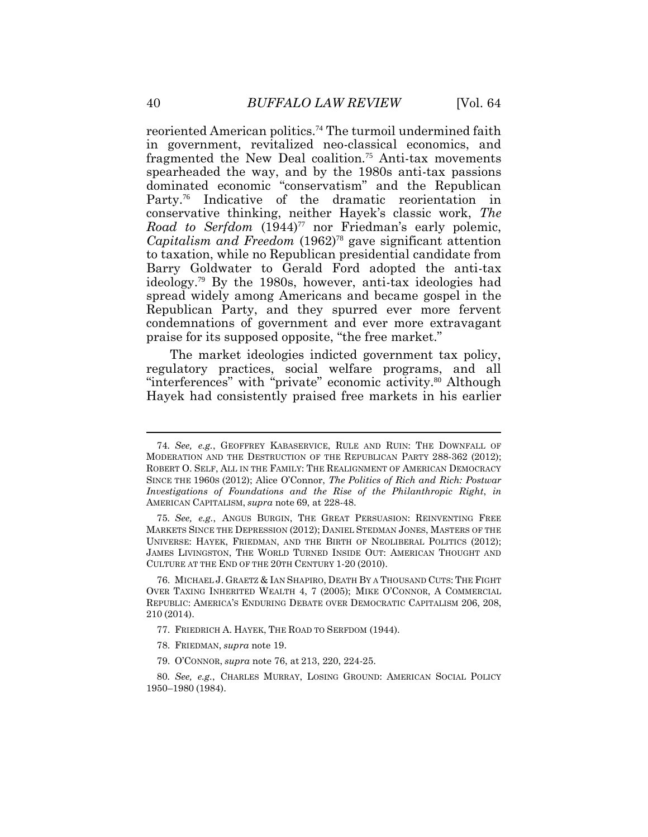reoriented American politics.<sup>74</sup> The turmoil undermined faith in government, revitalized neo-classical economics, and fragmented the New Deal coalition.<sup>75</sup> Anti-tax movements spearheaded the way, and by the 1980s anti-tax passions dominated economic "conservatism" and the Republican Party.<sup>76</sup> Indicative of the dramatic reorientation in conservative thinking, neither Hayek's classic work, *The Road to Serfdom* (1944)<sup>77</sup> nor Friedman's early polemic, *Capitalism and Freedom* (1962)<sup>78</sup> gave significant attention to taxation, while no Republican presidential candidate from Barry Goldwater to Gerald Ford adopted the anti-tax ideology.<sup>79</sup> By the 1980s, however, anti-tax ideologies had spread widely among Americans and became gospel in the Republican Party, and they spurred ever more fervent condemnations of government and ever more extravagant praise for its supposed opposite, "the free market."

The market ideologies indicted government tax policy, regulatory practices, social welfare programs, and all "interferences" with "private" economic activity.<sup>80</sup> Although Hayek had consistently praised free markets in his earlier

- 77. FRIEDRICH A. HAYEK, THE ROAD TO SERFDOM (1944).
- 78. FRIEDMAN, *supra* note 19.
- 79. O'CONNOR, *supra* note 76, at 213, 220, 224-25.

<sup>74</sup>*. See, e.g.*, GEOFFREY KABASERVICE, RULE AND RUIN: THE DOWNFALL OF MODERATION AND THE DESTRUCTION OF THE REPUBLICAN PARTY 288-362 (2012); ROBERT O. SELF, ALL IN THE FAMILY: THE REALIGNMENT OF AMERICAN DEMOCRACY SINCE THE 1960S (2012); Alice O'Connor, *The Politics of Rich and Rich: Postwar Investigations of Foundations and the Rise of the Philanthropic Right*, *in* AMERICAN CAPITALISM, *supra* note 69, at 228-48.

<sup>75</sup>*. See, e.g.*, ANGUS BURGIN, THE GREAT PERSUASION: REINVENTING FREE MARKETS SINCE THE DEPRESSION (2012); DANIEL STEDMAN JONES, MASTERS OF THE UNIVERSE: HAYEK, FRIEDMAN, AND THE BIRTH OF NEOLIBERAL POLITICS (2012); JAMES LIVINGSTON, THE WORLD TURNED INSIDE OUT: AMERICAN THOUGHT AND CULTURE AT THE END OF THE 20TH CENTURY 1-20 (2010).

<sup>76.</sup> MICHAEL J. GRAETZ & IAN SHAPIRO, DEATH BY A THOUSAND CUTS: THE FIGHT OVER TAXING INHERITED WEALTH 4, 7 (2005); MIKE O'CONNOR, A COMMERCIAL REPUBLIC: AMERICA'S ENDURING DEBATE OVER DEMOCRATIC CAPITALISM 206, 208, 210 (2014).

<sup>80</sup>*. See, e.g.*, CHARLES MURRAY, LOSING GROUND: AMERICAN SOCIAL POLICY 1950–1980 (1984).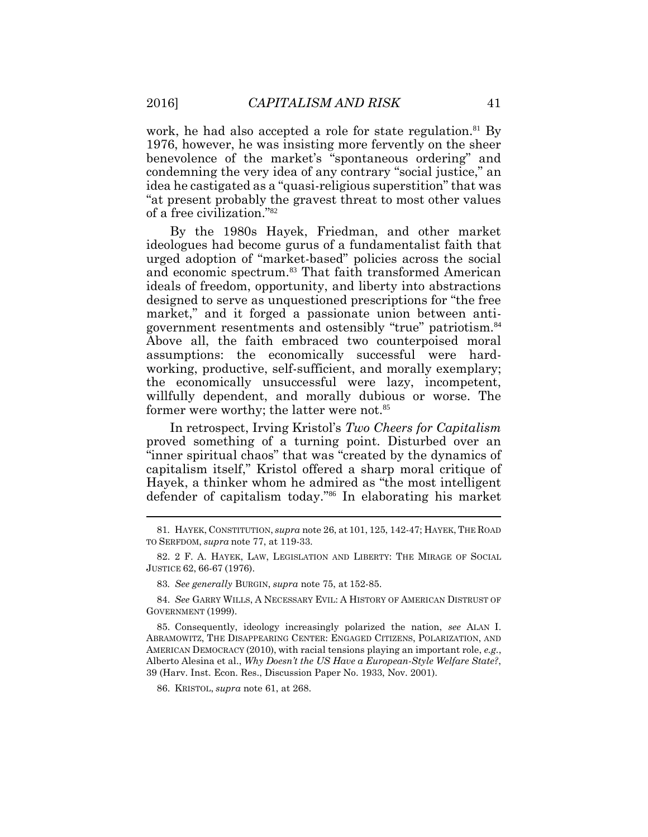work, he had also accepted a role for state regulation.<sup>81</sup> By 1976, however, he was insisting more fervently on the sheer benevolence of the market's "spontaneous ordering" and condemning the very idea of any contrary "social justice," an idea he castigated as a "quasi-religious superstition" that was "at present probably the gravest threat to most other values of a free civilization."<sup>82</sup>

By the 1980s Hayek, Friedman, and other market ideologues had become gurus of a fundamentalist faith that urged adoption of "market-based" policies across the social and economic spectrum.<sup>83</sup> That faith transformed American ideals of freedom, opportunity, and liberty into abstractions designed to serve as unquestioned prescriptions for "the free market," and it forged a passionate union between antigovernment resentments and ostensibly "true" patriotism.<sup>84</sup> Above all, the faith embraced two counterpoised moral assumptions: the economically successful were hardworking, productive, self-sufficient, and morally exemplary; the economically unsuccessful were lazy, incompetent, willfully dependent, and morally dubious or worse. The former were worthy; the latter were not.<sup>85</sup>

In retrospect, Irving Kristol's *Two Cheers for Capitalism* proved something of a turning point. Disturbed over an "inner spiritual chaos" that was "created by the dynamics of capitalism itself," Kristol offered a sharp moral critique of Hayek, a thinker whom he admired as "the most intelligent defender of capitalism today."<sup>86</sup> In elaborating his market

86. KRISTOL, *supra* note 61, at 268.

<sup>81</sup>*.* HAYEK, CONSTITUTION, *supra* note 26, at 101, 125, 142-47; HAYEK, THE ROAD TO SERFDOM, *supra* note 77, at 119-33.

<sup>82.</sup> 2 F. A. HAYEK, LAW, LEGISLATION AND LIBERTY: THE MIRAGE OF SOCIAL JUSTICE 62, 66-67 (1976).

<sup>83</sup>*. See generally* BURGIN, *supra* note 75, at 152-85.

<sup>84.</sup> *See* GARRY WILLS, A NECESSARY EVIL: A HISTORY OF AMERICAN DISTRUST OF GOVERNMENT (1999).

<sup>85.</sup> Consequently, ideology increasingly polarized the nation, *see* ALAN I. ABRAMOWITZ, THE DISAPPEARING CENTER: ENGAGED CITIZENS, POLARIZATION, AND AMERICAN DEMOCRACY (2010), with racial tensions playing an important role, *e.g.*, Alberto Alesina et al., *Why Doesn't the US Have a European-Style Welfare State?*, 39 (Harv. Inst. Econ. Res., Discussion Paper No. 1933, Nov. 2001).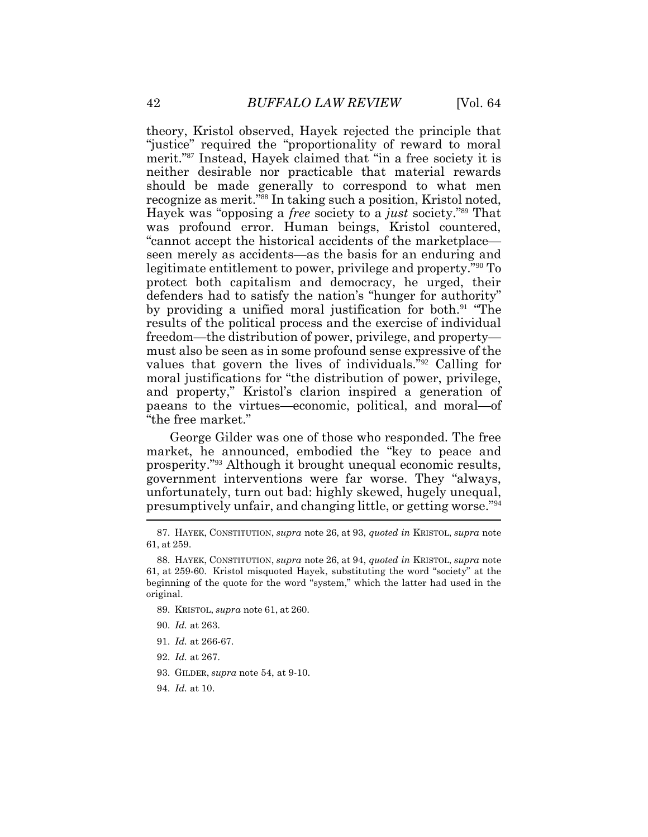theory, Kristol observed, Hayek rejected the principle that "justice" required the "proportionality of reward to moral merit."<sup>87</sup> Instead, Hayek claimed that "in a free society it is neither desirable nor practicable that material rewards should be made generally to correspond to what men recognize as merit."<sup>88</sup> In taking such a position, Kristol noted, Hayek was "opposing a *free* society to a *just* society."<sup>89</sup> That was profound error. Human beings, Kristol countered, "cannot accept the historical accidents of the marketplace seen merely as accidents—as the basis for an enduring and legitimate entitlement to power, privilege and property."<sup>90</sup> To protect both capitalism and democracy, he urged, their defenders had to satisfy the nation's "hunger for authority" by providing a unified moral justification for both.<sup>91</sup> "The results of the political process and the exercise of individual freedom—the distribution of power, privilege, and property must also be seen as in some profound sense expressive of the values that govern the lives of individuals."<sup>92</sup> Calling for moral justifications for "the distribution of power, privilege, and property," Kristol's clarion inspired a generation of paeans to the virtues—economic, political, and moral—of "the free market."

George Gilder was one of those who responded. The free market, he announced, embodied the "key to peace and prosperity."<sup>93</sup> Although it brought unequal economic results, government interventions were far worse. They "always, unfortunately, turn out bad: highly skewed, hugely unequal, presumptively unfair, and changing little, or getting worse."<sup>94</sup>

- 89. KRISTOL, *supra* note 61, at 260.
- 90. *Id.* at 263.
- 91. *Id.* at 266-67.
- 92. *Id.* at 267.
- 93. GILDER, *supra* note 54, at 9-10.
- 94. *Id.* at 10.

<sup>87.</sup> HAYEK, CONSTITUTION, *supra* note 26, at 93, *quoted in* KRISTOL, *supra* note 61, at 259.

<sup>88.</sup> HAYEK, CONSTITUTION, *supra* note 26, at 94, *quoted in* KRISTOL, *supra* note 61, at 259-60. Kristol misquoted Hayek, substituting the word "society" at the beginning of the quote for the word "system," which the latter had used in the original.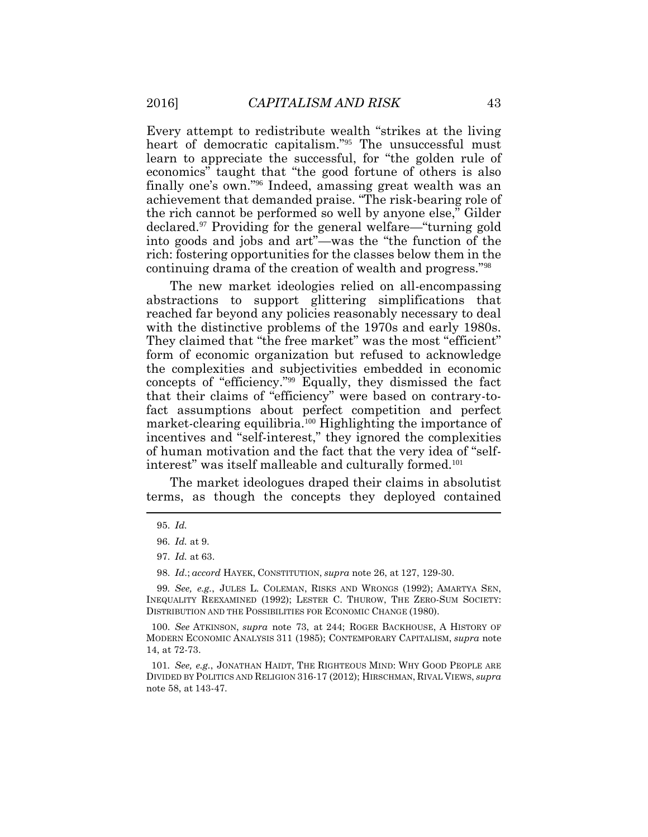Every attempt to redistribute wealth "strikes at the living heart of democratic capitalism."<sup>95</sup> The unsuccessful must learn to appreciate the successful, for "the golden rule of economics" taught that "the good fortune of others is also finally one's own."<sup>96</sup> Indeed, amassing great wealth was an achievement that demanded praise. "The risk-bearing role of the rich cannot be performed so well by anyone else," Gilder declared. <sup>97</sup> Providing for the general welfare—"turning gold into goods and jobs and art"—was the "the function of the rich: fostering opportunities for the classes below them in the continuing drama of the creation of wealth and progress."<sup>98</sup>

The new market ideologies relied on all-encompassing abstractions to support glittering simplifications that reached far beyond any policies reasonably necessary to deal with the distinctive problems of the 1970s and early 1980s. They claimed that "the free market" was the most "efficient" form of economic organization but refused to acknowledge the complexities and subjectivities embedded in economic concepts of "efficiency."<sup>99</sup> Equally, they dismissed the fact that their claims of "efficiency" were based on contrary-tofact assumptions about perfect competition and perfect market-clearing equilibria.<sup>100</sup> Highlighting the importance of incentives and "self-interest," they ignored the complexities of human motivation and the fact that the very idea of "selfinterest" was itself malleable and culturally formed.<sup>101</sup>

The market ideologues draped their claims in absolutist terms, as though the concepts they deployed contained

98. *Id*.; *accord* HAYEK, CONSTITUTION, *supra* note 26, at 127, 129-30.

<sup>95.</sup> *Id.*

<sup>96.</sup> *Id.* at 9.

<sup>97.</sup> *Id.* at 63.

<sup>99</sup>*. See, e.g.*, JULES L. COLEMAN, RISKS AND WRONGS (1992); AMARTYA SEN, INEQUALITY REEXAMINED (1992); LESTER C. THUROW, THE ZERO-SUM SOCIETY: DISTRIBUTION AND THE POSSIBILITIES FOR ECONOMIC CHANGE (1980).

<sup>100.</sup> *See* ATKINSON, *supra* note 73, at 244; ROGER BACKHOUSE, A HISTORY OF MODERN ECONOMIC ANALYSIS 311 (1985); CONTEMPORARY CAPITALISM, *supra* note 14, at 72-73.

<sup>101</sup>*. See, e.g.*, JONATHAN HAIDT, THE RIGHTEOUS MIND: WHY GOOD PEOPLE ARE DIVIDED BY POLITICS AND RELIGION 316-17 (2012); HIRSCHMAN, RIVAL VIEWS, *supra* note 58, at 143-47.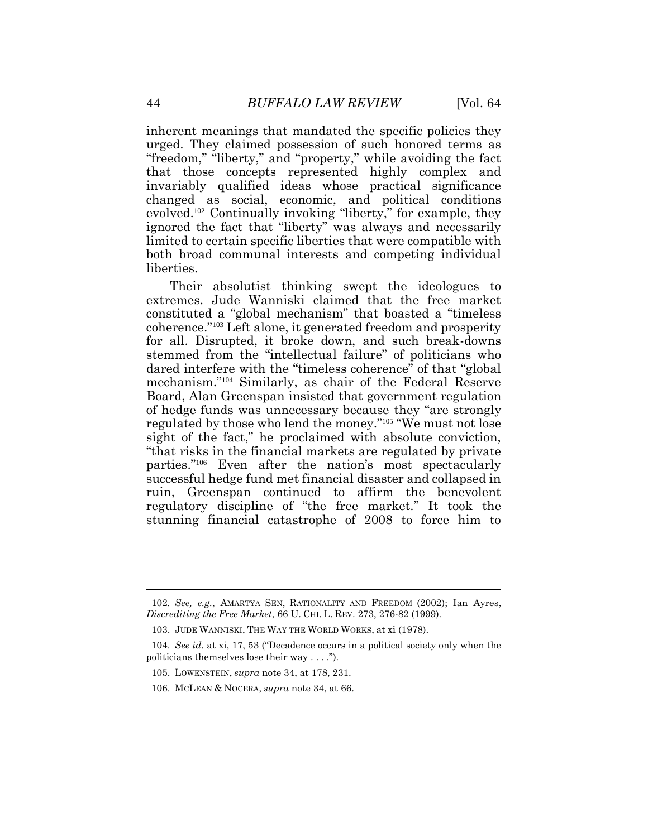inherent meanings that mandated the specific policies they urged. They claimed possession of such honored terms as "freedom," "liberty," and "property," while avoiding the fact that those concepts represented highly complex and invariably qualified ideas whose practical significance changed as social, economic, and political conditions evolved.<sup>102</sup> Continually invoking "liberty," for example, they ignored the fact that "liberty" was always and necessarily limited to certain specific liberties that were compatible with both broad communal interests and competing individual liberties.

Their absolutist thinking swept the ideologues to extremes. Jude Wanniski claimed that the free market constituted a "global mechanism" that boasted a "timeless coherence."<sup>103</sup> Left alone, it generated freedom and prosperity for all. Disrupted, it broke down, and such break-downs stemmed from the "intellectual failure" of politicians who dared interfere with the "timeless coherence" of that "global mechanism."<sup>104</sup> Similarly, as chair of the Federal Reserve Board, Alan Greenspan insisted that government regulation of hedge funds was unnecessary because they "are strongly regulated by those who lend the money."<sup>105</sup> "We must not lose sight of the fact," he proclaimed with absolute conviction, "that risks in the financial markets are regulated by private parties."<sup>106</sup> Even after the nation's most spectacularly successful hedge fund met financial disaster and collapsed in ruin, Greenspan continued to affirm the benevolent regulatory discipline of "the free market." It took the stunning financial catastrophe of 2008 to force him to

<sup>102</sup>*. See, e.g.*, AMARTYA SEN, RATIONALITY AND FREEDOM (2002); Ian Ayres, *Discrediting the Free Market*, 66 U. CHI. L. REV. 273, 276-82 (1999).

<sup>103.</sup> JUDE WANNISKI, THE WAY THE WORLD WORKS, at xi (1978).

<sup>104.</sup> *See id*. at xi, 17, 53 ("Decadence occurs in a political society only when the politicians themselves lose their way . . . .").

<sup>105.</sup> LOWENSTEIN, *supra* note 34, at 178, 231.

<sup>106.</sup> MCLEAN & NOCERA, *supra* note 34, at 66.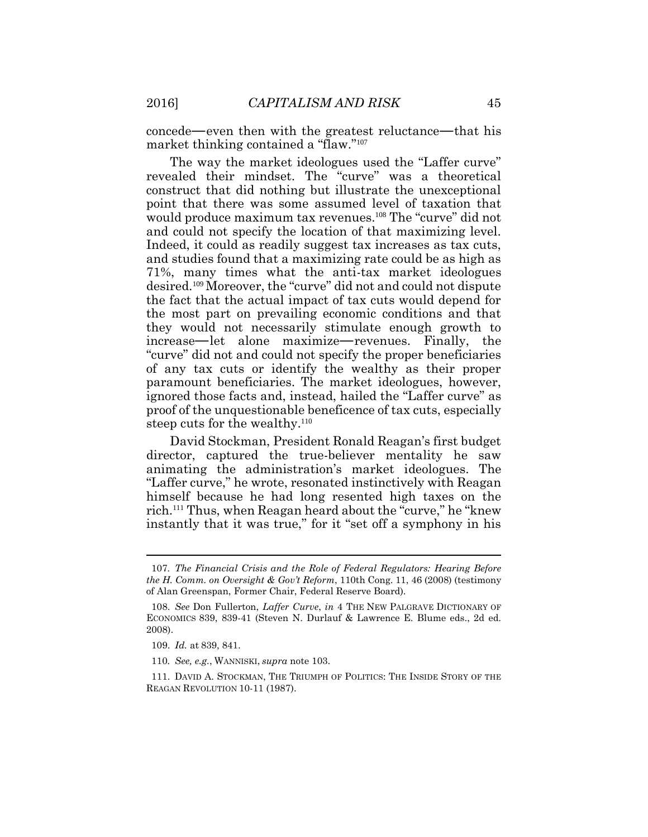concede—even then with the greatest reluctance—that his market thinking contained a "flaw."<sup>107</sup>

The way the market ideologues used the "Laffer curve" revealed their mindset. The "curve" was a theoretical construct that did nothing but illustrate the unexceptional point that there was some assumed level of taxation that would produce maximum tax revenues.<sup>108</sup> The "curve" did not and could not specify the location of that maximizing level. Indeed, it could as readily suggest tax increases as tax cuts, and studies found that a maximizing rate could be as high as 71%, many times what the anti-tax market ideologues desired.<sup>109</sup> Moreover, the "curve" did not and could not dispute the fact that the actual impact of tax cuts would depend for the most part on prevailing economic conditions and that they would not necessarily stimulate enough growth to increase—let alone maximize—revenues. Finally, the "curve" did not and could not specify the proper beneficiaries of any tax cuts or identify the wealthy as their proper paramount beneficiaries. The market ideologues, however, ignored those facts and, instead, hailed the "Laffer curve" as proof of the unquestionable beneficence of tax cuts, especially steep cuts for the wealthy.<sup>110</sup>

David Stockman, President Ronald Reagan's first budget director, captured the true-believer mentality he saw animating the administration's market ideologues. The "Laffer curve," he wrote, resonated instinctively with Reagan himself because he had long resented high taxes on the rich.<sup>111</sup> Thus, when Reagan heard about the "curve," he "knew instantly that it was true," for it "set off a symphony in his

<sup>107</sup>*. The Financial Crisis and the Role of Federal Regulators: Hearing Before the H. Comm. on Oversight & Gov't Reform*, 110th Cong. 11, 46 (2008) (testimony of Alan Greenspan, Former Chair, Federal Reserve Board).

<sup>108.</sup> *See* Don Fullerton, *Laffer Curve*, *in* 4 THE NEW PALGRAVE DICTIONARY OF ECONOMICS 839, 839-41 (Steven N. Durlauf & Lawrence E. Blume eds., 2d ed. 2008).

<sup>109.</sup> *Id.* at 839, 841.

<sup>110</sup>*. See, e.g.*, WANNISKI, *supra* note 103.

<sup>111.</sup> DAVID A. STOCKMAN, THE TRIUMPH OF POLITICS: THE INSIDE STORY OF THE REAGAN REVOLUTION 10-11 (1987).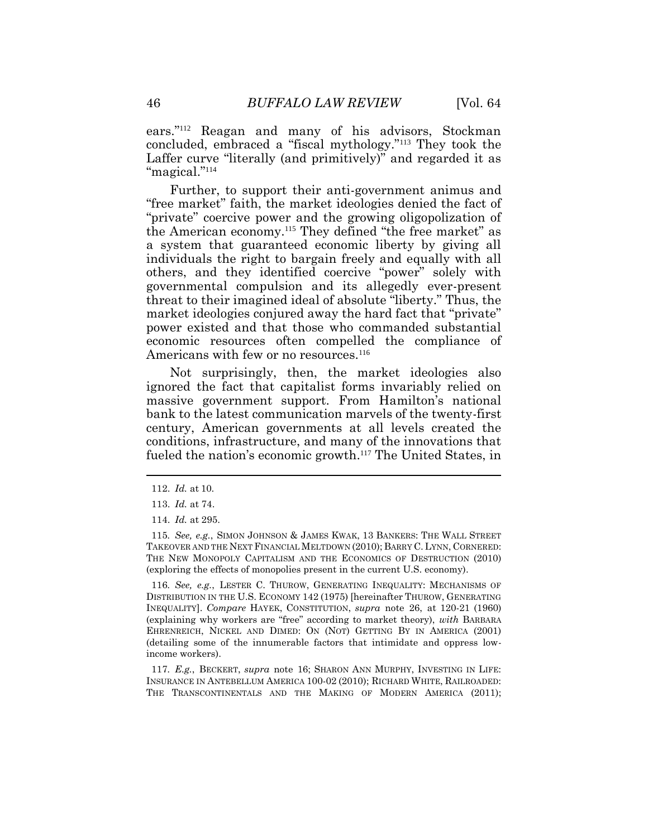ears."<sup>112</sup> Reagan and many of his advisors, Stockman concluded, embraced a "fiscal mythology."<sup>113</sup> They took the Laffer curve "literally (and primitively)" and regarded it as "magical."<sup>114</sup>

Further, to support their anti-government animus and "free market" faith, the market ideologies denied the fact of "private" coercive power and the growing oligopolization of the American economy.<sup>115</sup> They defined "the free market" as a system that guaranteed economic liberty by giving all individuals the right to bargain freely and equally with all others, and they identified coercive "power" solely with governmental compulsion and its allegedly ever-present threat to their imagined ideal of absolute "liberty." Thus, the market ideologies conjured away the hard fact that "private" power existed and that those who commanded substantial economic resources often compelled the compliance of Americans with few or no resources.<sup>116</sup>

Not surprisingly, then, the market ideologies also ignored the fact that capitalist forms invariably relied on massive government support. From Hamilton's national bank to the latest communication marvels of the twenty-first century, American governments at all levels created the conditions, infrastructure, and many of the innovations that fueled the nation's economic growth.<sup>117</sup> The United States, in

116*. See, e.g.*, LESTER C. THUROW, GENERATING INEQUALITY: MECHANISMS OF DISTRIBUTION IN THE U.S. ECONOMY 142 (1975) [hereinafter THUROW, GENERATING INEQUALITY]. *Compare* HAYEK, CONSTITUTION, *supra* note 26, at 120-21 (1960) (explaining why workers are "free" according to market theory), *with* BARBARA EHRENREICH, NICKEL AND DIMED: ON (NOT) GETTING BY IN AMERICA (2001) (detailing some of the innumerable factors that intimidate and oppress lowincome workers).

117*. E.g.*, BECKERT, *supra* note 16; SHARON ANN MURPHY, INVESTING IN LIFE: INSURANCE IN ANTEBELLUM AMERICA 100-02 (2010); RICHARD WHITE, RAILROADED: THE TRANSCONTINENTALS AND THE MAKING OF MODERN AMERICA (2011);

<sup>112.</sup> *Id.* at 10.

<sup>113.</sup> *Id.* at 74.

<sup>114.</sup> *Id.* at 295.

<sup>115</sup>*. See, e.g.*, SIMON JOHNSON & JAMES KWAK, 13 BANKERS: THE WALL STREET TAKEOVER AND THE NEXT FINANCIAL MELTDOWN (2010); BARRY C. LYNN, CORNERED: THE NEW MONOPOLY CAPITALISM AND THE ECONOMICS OF DESTRUCTION (2010) (exploring the effects of monopolies present in the current U.S. economy).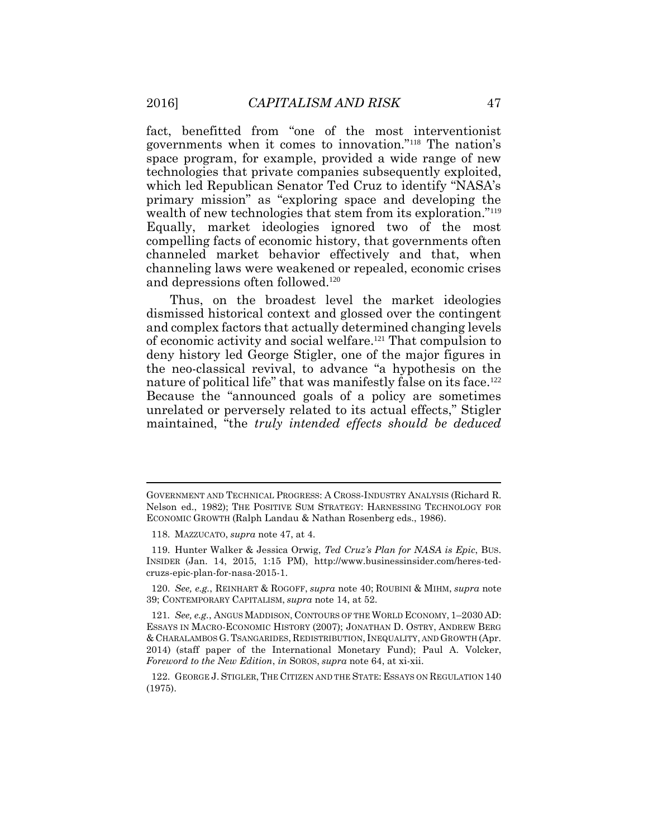fact, benefitted from "one of the most interventionist governments when it comes to innovation."<sup>118</sup> The nation's space program, for example, provided a wide range of new technologies that private companies subsequently exploited, which led Republican Senator Ted Cruz to identify "NASA's primary mission" as "exploring space and developing the wealth of new technologies that stem from its exploration."<sup>119</sup> Equally, market ideologies ignored two of the most compelling facts of economic history, that governments often channeled market behavior effectively and that, when channeling laws were weakened or repealed, economic crises and depressions often followed.<sup>120</sup>

Thus, on the broadest level the market ideologies dismissed historical context and glossed over the contingent and complex factors that actually determined changing levels of economic activity and social welfare.<sup>121</sup> That compulsion to deny history led George Stigler, one of the major figures in the neo-classical revival, to advance "a hypothesis on the nature of political life" that was manifestly false on its face.<sup>122</sup> Because the "announced goals of a policy are sometimes unrelated or perversely related to its actual effects," Stigler maintained, "the *truly intended effects should be deduced* 

GOVERNMENT AND TECHNICAL PROGRESS: A CROSS-INDUSTRY ANALYSIS (Richard R. Nelson ed., 1982); THE POSITIVE SUM STRATEGY: HARNESSING TECHNOLOGY FOR ECONOMIC GROWTH (Ralph Landau & Nathan Rosenberg eds., 1986).

<sup>118.</sup> MAZZUCATO, *supra* note 47, at 4.

<sup>119.</sup> Hunter Walker & Jessica Orwig, *Ted Cruz's Plan for NASA is Epic*, BUS. INSIDER (Jan. 14, 2015, 1:15 PM), http://www.businessinsider.com/heres-tedcruzs-epic-plan-for-nasa-2015-1.

<sup>120.</sup> *See, e.g.*, REINHART & ROGOFF, *supra* note 40; ROUBINI & MIHM, *supra* note 39; CONTEMPORARY CAPITALISM, *supra* note 14, at 52.

<sup>121</sup>*. See, e.g.*, ANGUS MADDISON, CONTOURS OF THE WORLD ECONOMY, 1–2030 AD: ESSAYS IN MACRO-ECONOMIC HISTORY (2007); JONATHAN D. OSTRY, ANDREW BERG & CHARALAMBOS G.TSANGARIDES, REDISTRIBUTION, INEQUALITY, AND GROWTH (Apr. 2014) (staff paper of the International Monetary Fund); Paul A. Volcker, *Foreword to the New Edition*, *in* SOROS, *supra* note 64, at xi-xii.

<sup>122.</sup> GEORGE J. STIGLER, THE CITIZEN AND THE STATE: ESSAYS ON REGULATION 140 (1975).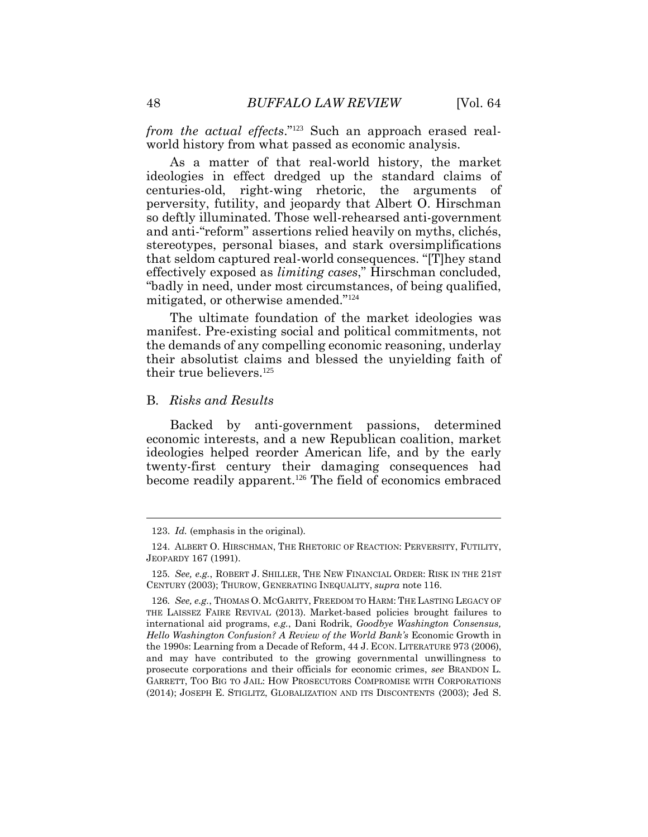*from the actual effects*."123 Such an approach erased realworld history from what passed as economic analysis.

As a matter of that real-world history, the market ideologies in effect dredged up the standard claims of centuries-old, right-wing rhetoric, the arguments of perversity, futility, and jeopardy that Albert O. Hirschman so deftly illuminated. Those well-rehearsed anti-government and anti-"reform" assertions relied heavily on myths, clichés, stereotypes, personal biases, and stark oversimplifications that seldom captured real-world consequences. "[T]hey stand effectively exposed as *limiting cases*," Hirschman concluded, "badly in need, under most circumstances, of being qualified, mitigated, or otherwise amended."<sup>124</sup>

The ultimate foundation of the market ideologies was manifest. Pre-existing social and political commitments, not the demands of any compelling economic reasoning, underlay their absolutist claims and blessed the unyielding faith of their true believers.<sup>125</sup>

## B. *Risks and Results*

Backed by anti-government passions, determined economic interests, and a new Republican coalition, market ideologies helped reorder American life, and by the early twenty-first century their damaging consequences had become readily apparent.126 The field of economics embraced

 $\overline{a}$ 

<sup>123.</sup> *Id.* (emphasis in the original).

<sup>124.</sup> ALBERT O. HIRSCHMAN, THE RHETORIC OF REACTION: PERVERSITY, FUTILITY, JEOPARDY 167 (1991).

<sup>125</sup>*. See, e.g.*, ROBERT J. SHILLER, THE NEW FINANCIAL ORDER: RISK IN THE 21ST CENTURY (2003); THUROW, GENERATING INEQUALITY, *supra* note 116.

<sup>126</sup>*. See, e.g.*, THOMAS O. MCGARITY, FREEDOM TO HARM: THE LASTING LEGACY OF THE LAISSEZ FAIRE REVIVAL (2013). Market-based policies brought failures to international aid programs, *e.g.*, Dani Rodrik, *Goodbye Washington Consensus, Hello Washington Confusion? A Review of the World Bank's* Economic Growth in the 1990s: Learning from a Decade of Reform, 44 J. ECON. LITERATURE 973 (2006), and may have contributed to the growing governmental unwillingness to prosecute corporations and their officials for economic crimes, *see* BRANDON L. GARRETT, TOO BIG TO JAIL: HOW PROSECUTORS COMPROMISE WITH CORPORATIONS (2014); JOSEPH E. STIGLITZ, GLOBALIZATION AND ITS DISCONTENTS (2003); Jed S.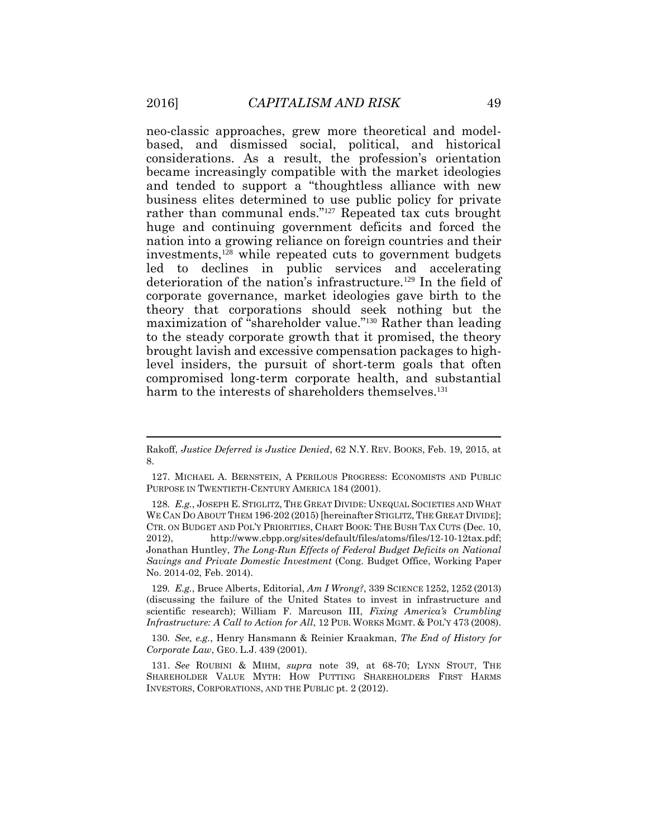neo-classic approaches, grew more theoretical and modelbased, and dismissed social, political, and historical considerations. As a result, the profession's orientation became increasingly compatible with the market ideologies and tended to support a "thoughtless alliance with new business elites determined to use public policy for private rather than communal ends."<sup>127</sup> Repeated tax cuts brought huge and continuing government deficits and forced the nation into a growing reliance on foreign countries and their investments,<sup>128</sup> while repeated cuts to government budgets led to declines in public services and accelerating deterioration of the nation's infrastructure.<sup>129</sup> In the field of corporate governance, market ideologies gave birth to the theory that corporations should seek nothing but the maximization of "shareholder value."<sup>130</sup> Rather than leading to the steady corporate growth that it promised, the theory brought lavish and excessive compensation packages to highlevel insiders, the pursuit of short-term goals that often compromised long-term corporate health, and substantial harm to the interests of shareholders themselves.<sup>131</sup>

Rakoff, *Justice Deferred is Justice Denied*, 62 N.Y. REV. BOOKS, Feb. 19, 2015, at 8.

<sup>127.</sup> MICHAEL A. BERNSTEIN, A PERILOUS PROGRESS: ECONOMISTS AND PUBLIC PURPOSE IN TWENTIETH-CENTURY AMERICA 184 (2001).

<sup>128</sup>*. E.g.*, JOSEPH E. STIGLITZ, THE GREAT DIVIDE: UNEQUAL SOCIETIES AND WHAT WE CAN DO ABOUT THEM 196-202 (2015) [hereinafter STIGLITZ, THE GREAT DIVIDE]; CTR. ON BUDGET AND POL'Y PRIORITIES, CHART BOOK: THE BUSH TAX CUTS (Dec. 10, 2012), http://www.cbpp.org/sites/default/files/atoms/files/12-10-12tax.pdf; Jonathan Huntley, *The Long-Run Effects of Federal Budget Deficits on National Savings and Private Domestic Investment* (Cong. Budget Office, Working Paper No. 2014-02, Feb. 2014).

<sup>129</sup>*. E.g.*, Bruce Alberts, Editorial, *Am I Wrong?*, 339 SCIENCE 1252, 1252 (2013) (discussing the failure of the United States to invest in infrastructure and scientific research); William F. Marcuson III, *Fixing America's Crumbling Infrastructure: A Call to Action for All*, 12 PUB. WORKS MGMT. & POL'Y 473 (2008).

<sup>130</sup>*. See, e.g.*, Henry Hansmann & Reinier Kraakman, *The End of History for Corporate Law*, GEO. L.J. 439 (2001).

<sup>131.</sup> *See* ROUBINI & MIHM, *supra* note 39, at 68-70; LYNN STOUT, THE SHAREHOLDER VALUE MYTH: HOW PUTTING SHAREHOLDERS FIRST HARMS INVESTORS, CORPORATIONS, AND THE PUBLIC pt. 2 (2012).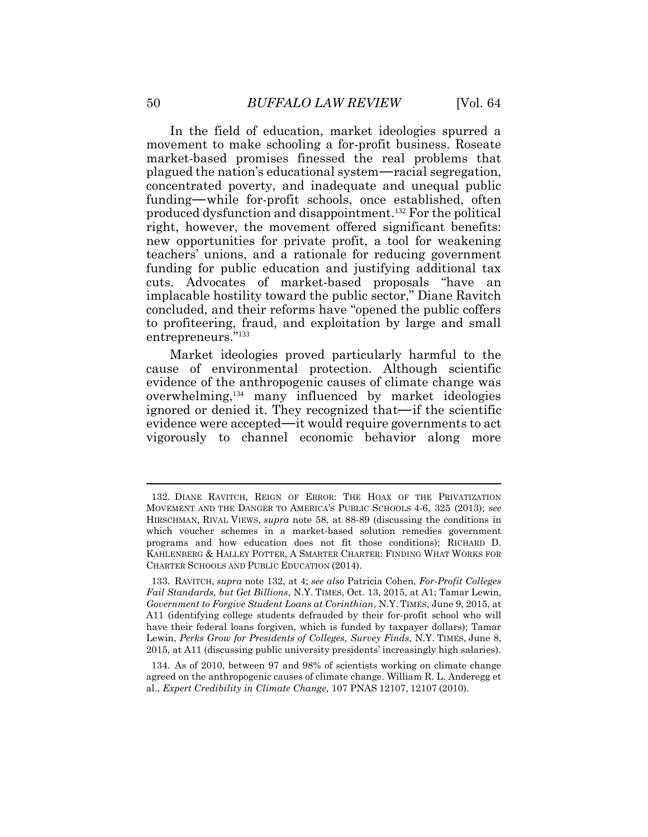In the field of education, market ideologies spurred a movement to make schooling a for-profit business. Roseate market-based promises finessed the real problems that plagued the nation's educational system—racial segregation, concentrated poverty, and inadequate and unequal public funding—while for-profit schools, once established, often produced dysfunction and disappointment. <sup>132</sup> For the political right, however, the movement offered significant benefits: new opportunities for private profit, a tool for weakening teachers' unions, and a rationale for reducing government funding for public education and justifying additional tax cuts. Advocates of market-based proposals "have an implacable hostility toward the public sector," Diane Ravitch concluded, and their reforms have "opened the public coffers to profiteering, fraud, and exploitation by large and small entrepreneurs."<sup>133</sup>

Market ideologies proved particularly harmful to the cause of environmental protection. Although scientific evidence of the anthropogenic causes of climate change was overwhelming,<sup>134</sup> many influenced by market ideologies ignored or denied it. They recognized that—if the scientific evidence were accepted—it would require governments to act vigorously to channel economic behavior along more

<sup>132.</sup> DIANE RAVITCH, REIGN OF ERROR: THE HOAX OF THE PRIVATIZATION MOVEMENT AND THE DANGER TO AMERICA'S PUBLIC SCHOOLS 4-6, 325 (2013); *see* HIRSCHMAN, RIVAL VIEWS, *supra* note 58, at 88-89 (discussing the conditions in which voucher schemes in a market-based solution remedies government programs and how education does not fit those conditions); RICHARD D. KAHLENBERG & HALLEY POTTER, A SMARTER CHARTER: FINDING WHAT WORKS FOR CHARTER SCHOOLS AND PUBLIC EDUCATION (2014).

<sup>133.</sup> RAVITCH, *supra* note 132, at 4; *see also* Patricia Cohen, *For-Profit Colleges Fail Standards, but Get Billions*, N.Y. TIMES, Oct. 13, 2015, at A1; Tamar Lewin, *Government to Forgive Student Loans at Corinthian*, N.Y. TIMES, June 9, 2015, at A11 (identifying college students defrauded by their for-profit school who will have their federal loans forgiven, which is funded by taxpayer dollars); Tamar Lewin, *Perks Grow for Presidents of Colleges, Survey Finds*, N.Y. TIMES, June 8, 2015, at A11 (discussing public university presidents' increasingly high salaries).

<sup>134.</sup> As of 2010, between 97 and 98% of scientists working on climate change agreed on the anthropogenic causes of climate change. William R. L. Anderegg et al., *Expert Credibility in Climate Change*, 107 PNAS 12107, 12107 (2010).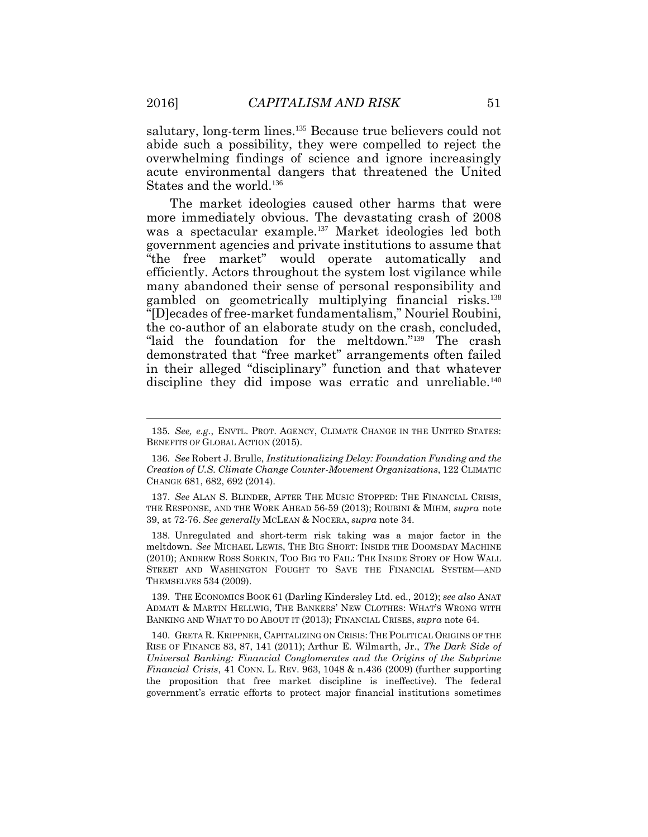salutary, long-term lines.<sup>135</sup> Because true believers could not abide such a possibility, they were compelled to reject the overwhelming findings of science and ignore increasingly acute environmental dangers that threatened the United States and the world.<sup>136</sup>

The market ideologies caused other harms that were more immediately obvious. The devastating crash of 2008 was a spectacular example.<sup>137</sup> Market ideologies led both government agencies and private institutions to assume that "the free market" would operate automatically and efficiently. Actors throughout the system lost vigilance while many abandoned their sense of personal responsibility and gambled on geometrically multiplying financial risks.<sup>138</sup> "[D]ecades of free-market fundamentalism," Nouriel Roubini, the co-author of an elaborate study on the crash, concluded, "laid the foundation for the meltdown."<sup>139</sup> The crash demonstrated that "free market" arrangements often failed in their alleged "disciplinary" function and that whatever discipline they did impose was erratic and unreliable.<sup>140</sup>

138. Unregulated and short-term risk taking was a major factor in the meltdown. *See* MICHAEL LEWIS, THE BIG SHORT: INSIDE THE DOOMSDAY MACHINE (2010); ANDREW ROSS SORKIN, TOO BIG TO FAIL: THE INSIDE STORY OF HOW WALL STREET AND WASHINGTON FOUGHT TO SAVE THE FINANCIAL SYSTEM—AND THEMSELVES 534 (2009).

139. THE ECONOMICS BOOK 61 (Darling Kindersley Ltd. ed., 2012); *see also* ANAT ADMATI & MARTIN HELLWIG, THE BANKERS' NEW CLOTHES: WHAT'S WRONG WITH BANKING AND WHAT TO DO ABOUT IT (2013); FINANCIAL CRISES, *supra* note 64.

140. GRETA R. KRIPPNER, CAPITALIZING ON CRISIS: THE POLITICAL ORIGINS OF THE RISE OF FINANCE 83, 87, 141 (2011); Arthur E. Wilmarth, Jr., *The Dark Side of Universal Banking: Financial Conglomerates and the Origins of the Subprime Financial Crisis*, 41 CONN. L. REV. 963, 1048 & n.436 (2009) (further supporting the proposition that free market discipline is ineffective). The federal government's erratic efforts to protect major financial institutions sometimes

<sup>135</sup>*. See, e.g.*, ENVTL. PROT. AGENCY, CLIMATE CHANGE IN THE UNITED STATES: BENEFITS OF GLOBAL ACTION (2015).

<sup>136</sup>*. See* Robert J. Brulle, *Institutionalizing Delay: Foundation Funding and the Creation of U.S. Climate Change Counter-Movement Organizations*, 122 CLIMATIC CHANGE 681, 682, 692 (2014).

<sup>137.</sup> *See* ALAN S. BLINDER, AFTER THE MUSIC STOPPED: THE FINANCIAL CRISIS, THE RESPONSE, AND THE WORK AHEAD 56-59 (2013); ROUBINI & MIHM, *supra* note 39, at 72-76. *See generally* MCLEAN & NOCERA, *supra* note 34.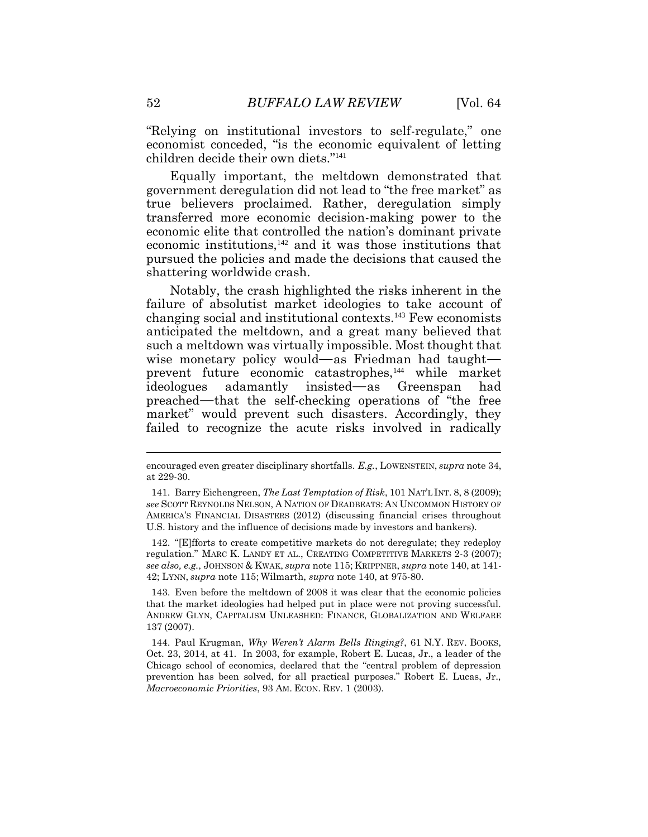"Relying on institutional investors to self-regulate," one economist conceded, "is the economic equivalent of letting children decide their own diets."<sup>141</sup>

Equally important, the meltdown demonstrated that government deregulation did not lead to "the free market" as true believers proclaimed. Rather, deregulation simply transferred more economic decision-making power to the economic elite that controlled the nation's dominant private economic institutions,<sup>142</sup> and it was those institutions that pursued the policies and made the decisions that caused the shattering worldwide crash.

Notably, the crash highlighted the risks inherent in the failure of absolutist market ideologies to take account of changing social and institutional contexts.<sup>143</sup> Few economists anticipated the meltdown, and a great many believed that such a meltdown was virtually impossible. Most thought that wise monetary policy would—as Friedman had taught prevent future economic catastrophes,<sup>144</sup> while market ideologues adamantly insisted—as Greenspan had preached—that the self-checking operations of "the free market" would prevent such disasters. Accordingly, they failed to recognize the acute risks involved in radically

142. "[E]fforts to create competitive markets do not deregulate; they redeploy regulation." MARC K. LANDY ET AL., CREATING COMPETITIVE MARKETS 2-3 (2007); *see also, e.g.*, JOHNSON & KWAK, *supra* note 115; KRIPPNER, *supra* note 140, at 141- 42; LYNN, *supra* note 115; Wilmarth, *supra* note 140, at 975-80.

143. Even before the meltdown of 2008 it was clear that the economic policies that the market ideologies had helped put in place were not proving successful. ANDREW GLYN, CAPITALISM UNLEASHED: FINANCE, GLOBALIZATION AND WELFARE 137 (2007).

144. Paul Krugman, *Why Weren't Alarm Bells Ringing?*, 61 N.Y. REV. BOOKS, Oct. 23, 2014, at 41. In 2003, for example, Robert E. Lucas, Jr., a leader of the Chicago school of economics, declared that the "central problem of depression prevention has been solved, for all practical purposes." Robert E. Lucas, Jr., *Macroeconomic Priorities*, 93 AM. ECON. REV. 1 (2003).

encouraged even greater disciplinary shortfalls. *E.g.*, LOWENSTEIN, *supra* note 34, at 229-30.

<sup>141.</sup> Barry Eichengreen, *The Last Temptation of Risk*, 101 NAT'L INT. 8, 8 (2009); *see* SCOTT REYNOLDS NELSON, A NATION OF DEADBEATS: AN UNCOMMON HISTORY OF AMERICA'S FINANCIAL DISASTERS (2012) (discussing financial crises throughout U.S. history and the influence of decisions made by investors and bankers).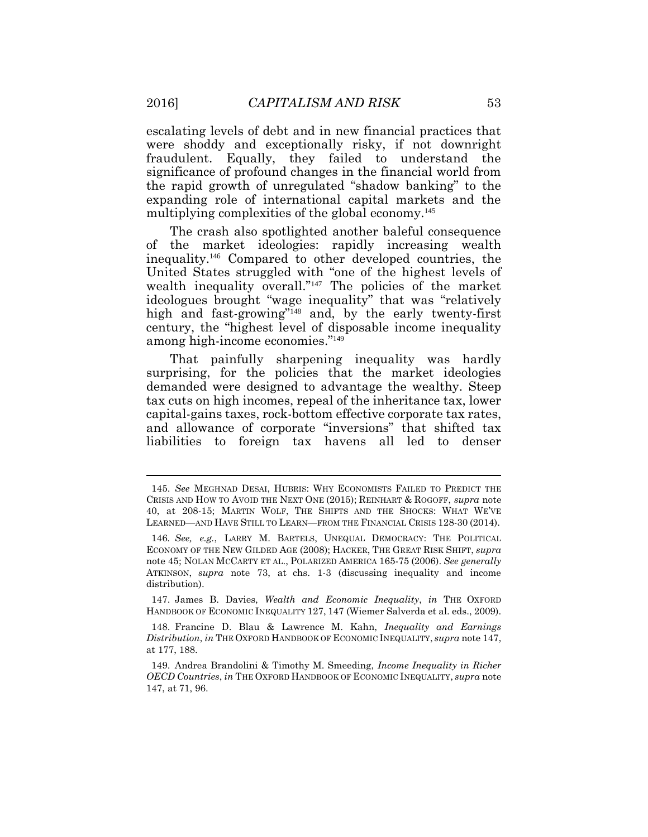escalating levels of debt and in new financial practices that were shoddy and exceptionally risky, if not downright fraudulent. Equally, they failed to understand the significance of profound changes in the financial world from the rapid growth of unregulated "shadow banking" to the expanding role of international capital markets and the multiplying complexities of the global economy.<sup>145</sup>

The crash also spotlighted another baleful consequence of the market ideologies: rapidly increasing wealth inequality.<sup>146</sup> Compared to other developed countries, the United States struggled with "one of the highest levels of wealth inequality overall."<sup>147</sup> The policies of the market ideologues brought "wage inequality" that was "relatively high and fast-growing"<sup>148</sup> and, by the early twenty-first century, the "highest level of disposable income inequality among high-income economies."<sup>149</sup>

That painfully sharpening inequality was hardly surprising, for the policies that the market ideologies demanded were designed to advantage the wealthy. Steep tax cuts on high incomes, repeal of the inheritance tax, lower capital-gains taxes, rock-bottom effective corporate tax rates, and allowance of corporate "inversions" that shifted tax liabilities to foreign tax havens all led to denser

147. James B. Davies, *Wealth and Economic Inequality*, *in* THE OXFORD HANDBOOK OF ECONOMIC INEQUALITY 127, 147 (Wiemer Salverda et al. eds., 2009).

<sup>145.</sup> *See* MEGHNAD DESAI, HUBRIS: WHY ECONOMISTS FAILED TO PREDICT THE CRISIS AND HOW TO AVOID THE NEXT ONE (2015); REINHART & ROGOFF, *supra* note 40, at 208-15; MARTIN WOLF, THE SHIFTS AND THE SHOCKS: WHAT WE'VE LEARNED—AND HAVE STILL TO LEARN—FROM THE FINANCIAL CRISIS 128-30 (2014).

<sup>146</sup>*. See, e.g.*, LARRY M. BARTELS, UNEQUAL DEMOCRACY: THE POLITICAL ECONOMY OF THE NEW GILDED AGE (2008); HACKER, THE GREAT RISK SHIFT, *supra* note 45; NOLAN MCCARTY ET AL., POLARIZED AMERICA 165-75 (2006). *See generally*  ATKINSON, *supra* note 73, at chs. 1-3 (discussing inequality and income distribution).

<sup>148.</sup> Francine D. Blau & Lawrence M. Kahn, *Inequality and Earnings Distribution*, *in* THE OXFORD HANDBOOK OF ECONOMIC INEQUALITY, *supra* note 147, at 177, 188.

<sup>149.</sup> Andrea Brandolini & Timothy M. Smeeding, *Income Inequality in Richer OECD Countries*, *in* THE OXFORD HANDBOOK OF ECONOMIC INEQUALITY, *supra* note 147, at 71, 96.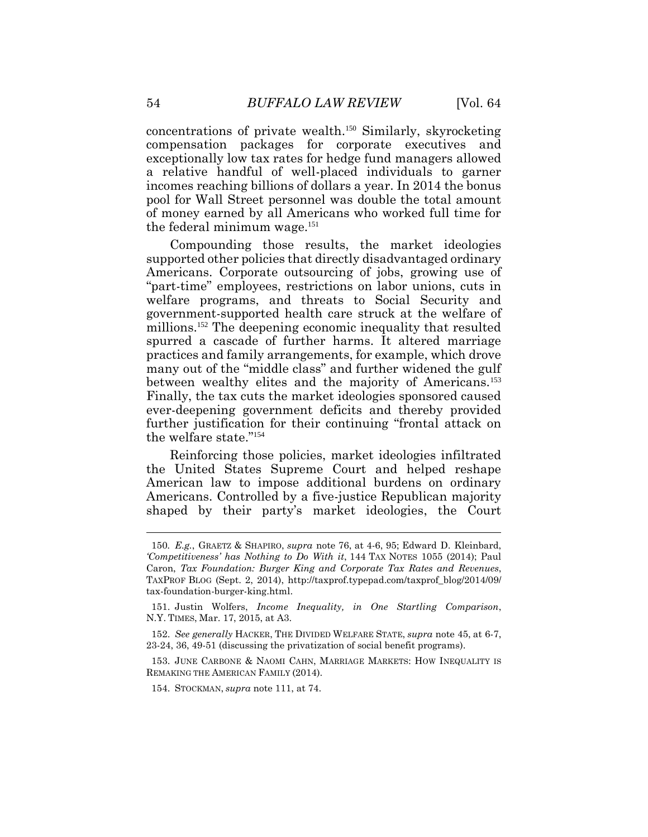concentrations of private wealth.<sup>150</sup> Similarly, skyrocketing compensation packages for corporate executives and exceptionally low tax rates for hedge fund managers allowed a relative handful of well-placed individuals to garner incomes reaching billions of dollars a year. In 2014 the bonus pool for Wall Street personnel was double the total amount of money earned by all Americans who worked full time for the federal minimum wage.<sup>151</sup>

Compounding those results, the market ideologies supported other policies that directly disadvantaged ordinary Americans. Corporate outsourcing of jobs, growing use of "part-time" employees, restrictions on labor unions, cuts in welfare programs, and threats to Social Security and government-supported health care struck at the welfare of millions.<sup>152</sup> The deepening economic inequality that resulted spurred a cascade of further harms. It altered marriage practices and family arrangements, for example, which drove many out of the "middle class" and further widened the gulf between wealthy elites and the majority of Americans.<sup>153</sup> Finally, the tax cuts the market ideologies sponsored caused ever-deepening government deficits and thereby provided further justification for their continuing "frontal attack on the welfare state."<sup>154</sup>

Reinforcing those policies, market ideologies infiltrated the United States Supreme Court and helped reshape American law to impose additional burdens on ordinary Americans. Controlled by a five-justice Republican majority shaped by their party's market ideologies, the Court

<sup>150</sup>*. E.g.*, GRAETZ & SHAPIRO, *supra* note 76, at 4-6, 95; Edward D. Kleinbard, *'Competitiveness' has Nothing to Do With it*, 144 TAX NOTES 1055 (2014); Paul Caron, *Tax Foundation: Burger King and Corporate Tax Rates and Revenues*, TAXPROF BLOG (Sept. 2, 2014), http://taxprof.typepad.com/taxprof\_blog/2014/09/ tax-foundation-burger-king.html.

<sup>151.</sup> Justin Wolfers, *Income Inequality, in One Startling Comparison*, N.Y. TIMES, Mar. 17, 2015, at A3.

<sup>152.</sup> *See generally* HACKER, THE DIVIDED WELFARE STATE, *supra* note 45, at 6-7, 23-24, 36, 49-51 (discussing the privatization of social benefit programs).

<sup>153.</sup> JUNE CARBONE & NAOMI CAHN, MARRIAGE MARKETS: HOW INEQUALITY IS REMAKING THE AMERICAN FAMILY (2014).

<sup>154.</sup> STOCKMAN, *supra* note 111, at 74.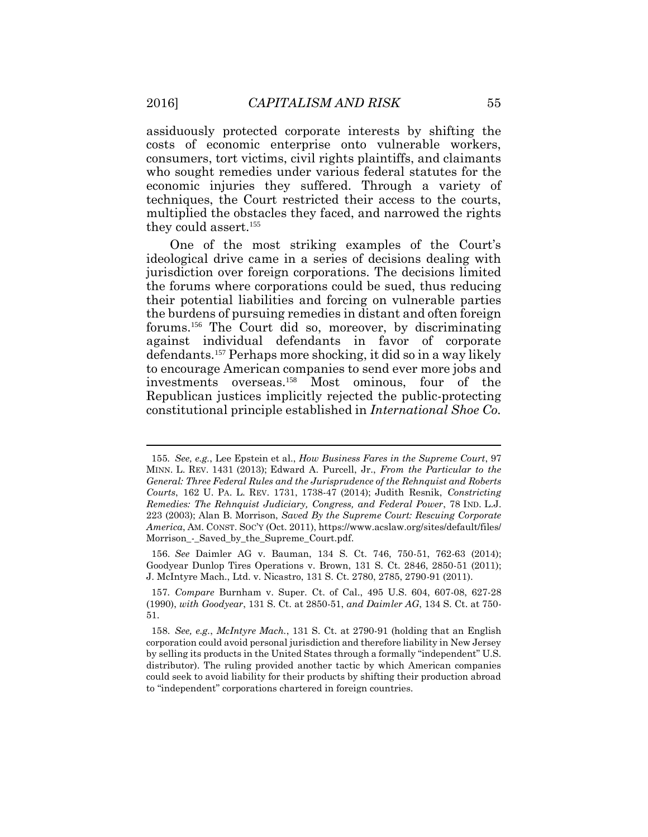assiduously protected corporate interests by shifting the costs of economic enterprise onto vulnerable workers, consumers, tort victims, civil rights plaintiffs, and claimants who sought remedies under various federal statutes for the economic injuries they suffered. Through a variety of techniques, the Court restricted their access to the courts, multiplied the obstacles they faced, and narrowed the rights they could assert.<sup>155</sup>

One of the most striking examples of the Court's ideological drive came in a series of decisions dealing with jurisdiction over foreign corporations. The decisions limited the forums where corporations could be sued, thus reducing their potential liabilities and forcing on vulnerable parties the burdens of pursuing remedies in distant and often foreign forums.<sup>156</sup> The Court did so, moreover, by discriminating against individual defendants in favor of corporate defendants.<sup>157</sup> Perhaps more shocking, it did so in a way likely to encourage American companies to send ever more jobs and investments overseas.<sup>158</sup> Most ominous, four of the Republican justices implicitly rejected the public-protecting constitutional principle established in *International Shoe Co.* 

156. *See* Daimler AG v. Bauman, 134 S. Ct. 746, 750-51, 762-63 (2014); Goodyear Dunlop Tires Operations v. Brown, 131 S. Ct. 2846, 2850-51 (2011); J. McIntyre Mach., Ltd. v. Nicastro, 131 S. Ct. 2780, 2785, 2790-91 (2011).

<sup>155</sup>*. See, e.g.*, Lee Epstein et al., *How Business Fares in the Supreme Court*, 97 MINN. L. REV. 1431 (2013); Edward A. Purcell, Jr., *From the Particular to the General: Three Federal Rules and the Jurisprudence of the Rehnquist and Roberts Courts*, 162 U. PA. L. REV. 1731, 1738-47 (2014); Judith Resnik, *Constricting Remedies: The Rehnquist Judiciary, Congress, and Federal Power*, 78 IND. L.J. 223 (2003); Alan B. Morrison, *Saved By the Supreme Court: Rescuing Corporate America*, AM. CONST. SOC'Y (Oct. 2011), https://www.acslaw.org/sites/default/files/ Morrison - Saved by the Supreme Court.pdf.

<sup>157</sup>*. Compare* Burnham v. Super. Ct. of Cal., 495 U.S. 604, 607-08, 627-28 (1990), *with Goodyear*, 131 S. Ct. at 2850-51, *and Daimler AG*, 134 S. Ct. at 750- 51.

<sup>158.</sup> *See, e.g.*, *McIntyre Mach.*, 131 S. Ct. at 2790-91 (holding that an English corporation could avoid personal jurisdiction and therefore liability in New Jersey by selling its products in the United States through a formally "independent" U.S. distributor). The ruling provided another tactic by which American companies could seek to avoid liability for their products by shifting their production abroad to "independent" corporations chartered in foreign countries.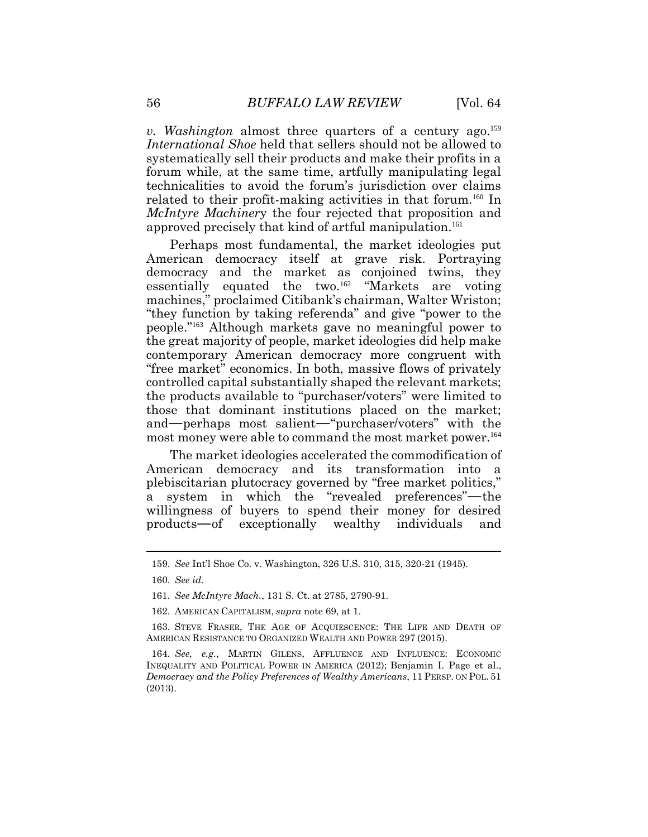*v.* Washington almost three quarters of a century ago.<sup>159</sup> *International Shoe* held that sellers should not be allowed to systematically sell their products and make their profits in a forum while, at the same time, artfully manipulating legal technicalities to avoid the forum's jurisdiction over claims related to their profit-making activities in that forum.<sup>160</sup> In *McIntyre Machiner*y the four rejected that proposition and approved precisely that kind of artful manipulation.<sup>161</sup>

Perhaps most fundamental, the market ideologies put American democracy itself at grave risk. Portraying democracy and the market as conjoined twins, they essentially equated the two.<sup>162</sup> "Markets are voting machines," proclaimed Citibank's chairman, Walter Wriston; "they function by taking referenda" and give "power to the people."<sup>163</sup> Although markets gave no meaningful power to the great majority of people, market ideologies did help make contemporary American democracy more congruent with "free market" economics. In both, massive flows of privately controlled capital substantially shaped the relevant markets; the products available to "purchaser/voters" were limited to those that dominant institutions placed on the market; and—perhaps most salient—"purchaser/voters" with the most money were able to command the most market power.<sup>164</sup>

The market ideologies accelerated the commodification of American democracy and its transformation into a plebiscitarian plutocracy governed by "free market politics," a system in which the "revealed preferences"—the willingness of buyers to spend their money for desired products—of exceptionally wealthy individuals and

<sup>159.</sup> *See* Int'l Shoe Co. v. Washington, 326 U.S. 310, 315, 320-21 (1945).

<sup>160.</sup> *See id.*

<sup>161.</sup> *See McIntyre Mach.*, 131 S. Ct. at 2785, 2790-91.

<sup>162.</sup> AMERICAN CAPITALISM, *supra* note 69, at 1.

<sup>163.</sup> STEVE FRASER, THE AGE OF ACQUIESCENCE: THE LIFE AND DEATH OF AMERICAN RESISTANCE TO ORGANIZED WEALTH AND POWER 297 (2015).

<sup>164</sup>*. See, e.g.*, MARTIN GILENS, AFFLUENCE AND INFLUENCE: ECONOMIC INEQUALITY AND POLITICAL POWER IN AMERICA (2012); Benjamin I. Page et al., *Democracy and the Policy Preferences of Wealthy Americans*, 11 PERSP. ON POL. 51 (2013).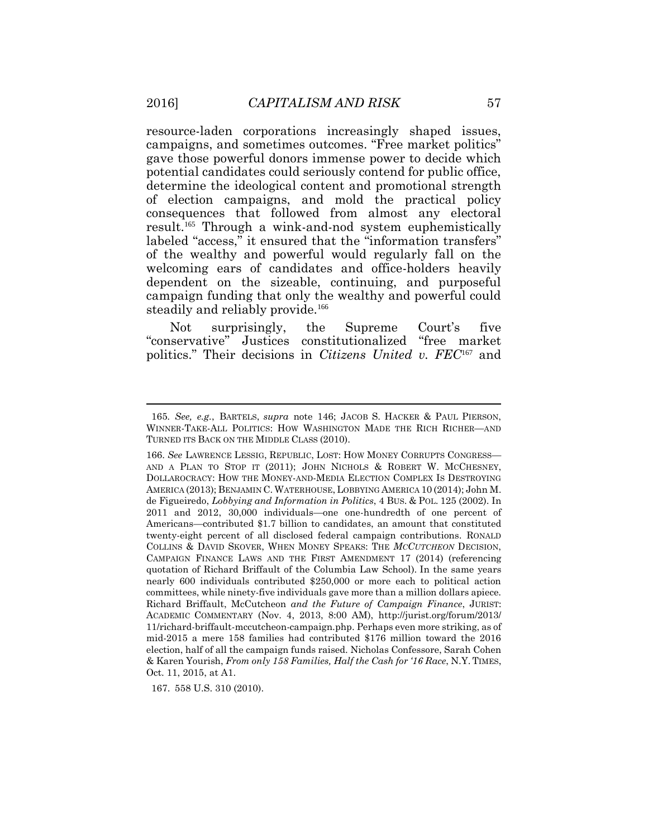resource-laden corporations increasingly shaped issues, campaigns, and sometimes outcomes. "Free market politics" gave those powerful donors immense power to decide which potential candidates could seriously contend for public office, determine the ideological content and promotional strength of election campaigns, and mold the practical policy consequences that followed from almost any electoral result.<sup>165</sup> Through a wink-and-nod system euphemistically labeled "access," it ensured that the "information transfers" of the wealthy and powerful would regularly fall on the welcoming ears of candidates and office-holders heavily dependent on the sizeable, continuing, and purposeful campaign funding that only the wealthy and powerful could steadily and reliably provide.<sup>166</sup>

Not surprisingly, the Supreme Court's five "conservative" Justices constitutionalized "free market politics." Their decisions in *Citizens United v. FEC*<sup>167</sup> and

167. 558 U.S. 310 (2010).

<sup>165</sup>*. See, e.g.*, BARTELS, *supra* note 146; JACOB S. HACKER & PAUL PIERSON, WINNER-TAKE-ALL POLITICS: HOW WASHINGTON MADE THE RICH RICHER—AND TURNED ITS BACK ON THE MIDDLE CLASS (2010).

<sup>166.</sup> *See* LAWRENCE LESSIG, REPUBLIC, LOST: HOW MONEY CORRUPTS CONGRESS— AND A PLAN TO STOP IT (2011); JOHN NICHOLS & ROBERT W. MCCHESNEY, DOLLAROCRACY: HOW THE MONEY-AND-MEDIA ELECTION COMPLEX IS DESTROYING AMERICA (2013); BENJAMIN C. WATERHOUSE, LOBBYING AMERICA 10 (2014); John M. de Figueiredo, *Lobbying and Information in Politics*, 4 BUS. & POL. 125 (2002). In 2011 and 2012, 30,000 individuals—one one-hundredth of one percent of Americans—contributed \$1.7 billion to candidates, an amount that constituted twenty-eight percent of all disclosed federal campaign contributions. RONALD COLLINS & DAVID SKOVER, WHEN MONEY SPEAKS: THE *MCCUTCHEON* DECISION, CAMPAIGN FINANCE LAWS AND THE FIRST AMENDMENT 17 (2014) (referencing quotation of Richard Briffault of the Columbia Law School). In the same years nearly 600 individuals contributed \$250,000 or more each to political action committees, while ninety-five individuals gave more than a million dollars apiece. Richard Briffault, McCutcheon *and the Future of Campaign Finance*, JURIST: ACADEMIC COMMENTARY (Nov. 4, 2013, 8:00 AM), http://jurist.org/forum/2013/ 11/richard-briffault-mccutcheon-campaign.php. Perhaps even more striking, as of mid-2015 a mere 158 families had contributed \$176 million toward the 2016 election, half of all the campaign funds raised. Nicholas Confessore, Sarah Cohen & Karen Yourish, *From only 158 Families, Half the Cash for '16 Race*, N.Y. TIMES, Oct. 11, 2015, at A1.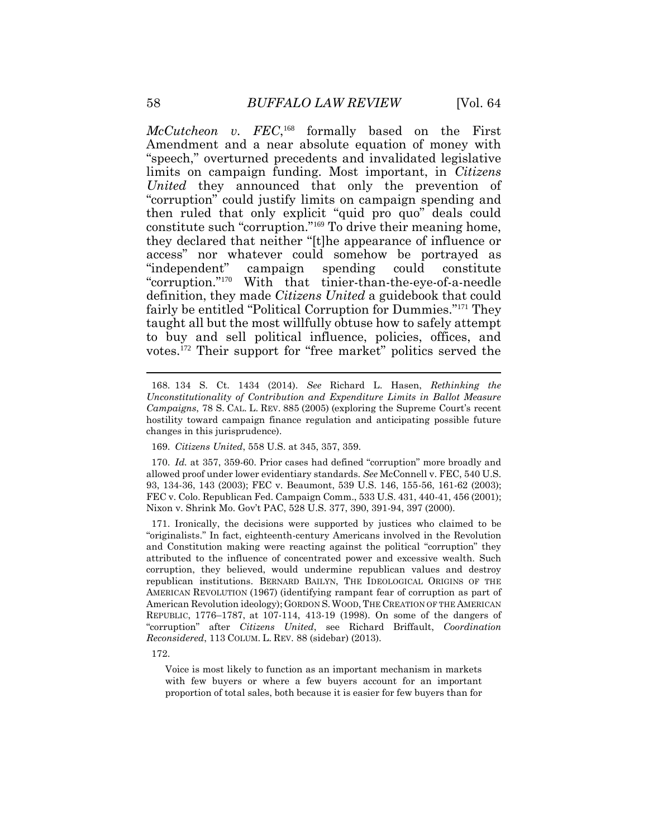McCutcheon v. FEC,<sup>168</sup> formally based on the First Amendment and a near absolute equation of money with "speech," overturned precedents and invalidated legislative limits on campaign funding. Most important, in *Citizens United* they announced that only the prevention of "corruption" could justify limits on campaign spending and then ruled that only explicit "quid pro quo" deals could constitute such "corruption."<sup>169</sup> To drive their meaning home, they declared that neither "[t]he appearance of influence or access" nor whatever could somehow be portrayed as "independent" campaign spending could constitute "corruption."<sup>170</sup> With that tinier-than-the-eye-of-a-needle definition, they made *Citizens United* a guidebook that could fairly be entitled "Political Corruption for Dummies."<sup>171</sup> They taught all but the most willfully obtuse how to safely attempt to buy and sell political influence, policies, offices, and votes.<sup>172</sup> Their support for "free market" politics served the

170. *Id.* at 357, 359-60. Prior cases had defined "corruption" more broadly and allowed proof under lower evidentiary standards. *See* McConnell v. FEC, 540 U.S. 93, 134-36, 143 (2003); FEC v. Beaumont, 539 U.S. 146, 155-56, 161-62 (2003); FEC v. Colo. Republican Fed. Campaign Comm., 533 U.S. 431, 440-41, 456 (2001); Nixon v. Shrink Mo. Gov't PAC, 528 U.S. 377, 390, 391-94, 397 (2000).

171. Ironically, the decisions were supported by justices who claimed to be "originalists." In fact, eighteenth-century Americans involved in the Revolution and Constitution making were reacting against the political "corruption" they attributed to the influence of concentrated power and excessive wealth. Such corruption, they believed, would undermine republican values and destroy republican institutions. BERNARD BAILYN, THE IDEOLOGICAL ORIGINS OF THE AMERICAN REVOLUTION (1967) (identifying rampant fear of corruption as part of American Revolution ideology); GORDON S.WOOD,THE CREATION OF THE AMERICAN REPUBLIC, 1776–1787, at 107-114, 413-19 (1998). On some of the dangers of "corruption" after *Citizens United*, see Richard Briffault, *Coordination Reconsidered*, 113 COLUM. L. REV. 88 (sidebar) (2013).

172.

Voice is most likely to function as an important mechanism in markets with few buyers or where a few buyers account for an important proportion of total sales, both because it is easier for few buyers than for

<sup>168.</sup> 134 S. Ct. 1434 (2014). *See* Richard L. Hasen, *Rethinking the Unconstitutionality of Contribution and Expenditure Limits in Ballot Measure Campaigns*, 78 S. CAL. L. REV. 885 (2005) (exploring the Supreme Court's recent hostility toward campaign finance regulation and anticipating possible future changes in this jurisprudence).

<sup>169.</sup> *Citizens United*, 558 U.S. at 345, 357, 359.